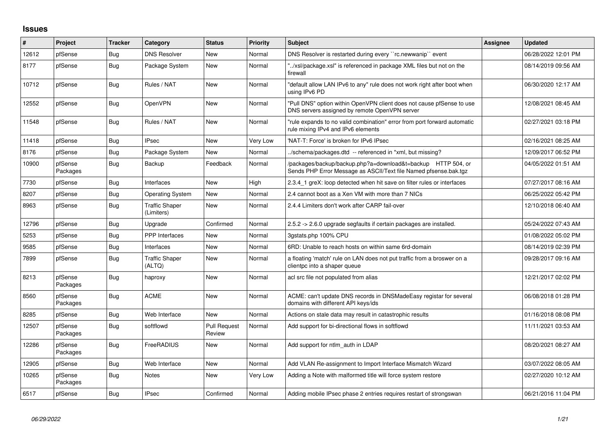## **Issues**

| #     | Project             | <b>Tracker</b> | Category                            | <b>Status</b>                 | Priority | <b>Subject</b>                                                                                                                   | <b>Assignee</b> | <b>Updated</b>      |
|-------|---------------------|----------------|-------------------------------------|-------------------------------|----------|----------------------------------------------------------------------------------------------------------------------------------|-----------------|---------------------|
| 12612 | pfSense             | Bug            | <b>DNS Resolver</b>                 | <b>New</b>                    | Normal   | DNS Resolver is restarted during every "rc.newwanip" event                                                                       |                 | 06/28/2022 12:01 PM |
| 8177  | pfSense             | Bug            | Package System                      | <b>New</b>                    | Normal   | "/xsl/package.xsl" is referenced in package XML files but not on the<br>firewall                                                 |                 | 08/14/2019 09:56 AM |
| 10712 | pfSense             | Bug            | Rules / NAT                         | <b>New</b>                    | Normal   | "default allow LAN IPv6 to any" rule does not work right after boot when<br>using IPv6 PD                                        |                 | 06/30/2020 12:17 AM |
| 12552 | pfSense             | Bug            | OpenVPN                             | <b>New</b>                    | Normal   | "Pull DNS" option within OpenVPN client does not cause pfSense to use<br>DNS servers assigned by remote OpenVPN server           |                 | 12/08/2021 08:45 AM |
| 11548 | pfSense             | Bug            | Rules / NAT                         | <b>New</b>                    | Normal   | "rule expands to no valid combination" error from port forward automatic<br>rule mixing IPv4 and IPv6 elements                   |                 | 02/27/2021 03:18 PM |
| 11418 | pfSense             | Bug            | <b>IPsec</b>                        | <b>New</b>                    | Very Low | 'NAT-T: Force' is broken for IPv6 IPsec                                                                                          |                 | 02/16/2021 08:25 AM |
| 8176  | pfSense             | Bug            | Package System                      | <b>New</b>                    | Normal   | ./schema/packages.dtd -- referenced in *xml, but missing?                                                                        |                 | 12/09/2017 06:52 PM |
| 10900 | pfSense<br>Packages | Bug            | Backup                              | Feedback                      | Normal   | /packages/backup/backup.php?a=download&t=backup HTTP 504, or<br>Sends PHP Error Message as ASCII/Text file Named pfsense.bak.tgz |                 | 04/05/2022 01:51 AM |
| 7730  | pfSense             | <b>Bug</b>     | Interfaces                          | <b>New</b>                    | High     | 2.3.4 1 greX: loop detected when hit save on filter rules or interfaces                                                          |                 | 07/27/2017 08:16 AM |
| 8207  | pfSense             | Bug            | <b>Operating System</b>             | New                           | Normal   | 2.4 cannot boot as a Xen VM with more than 7 NICs                                                                                |                 | 06/25/2022 05:42 PM |
| 8963  | pfSense             | <b>Bug</b>     | <b>Traffic Shaper</b><br>(Limiters) | <b>New</b>                    | Normal   | 2.4.4 Limiters don't work after CARP fail-over                                                                                   |                 | 12/10/2018 06:40 AM |
| 12796 | pfSense             | Bug            | Upgrade                             | Confirmed                     | Normal   | 2.5.2 -> 2.6.0 upgrade segfaults if certain packages are installed.                                                              |                 | 05/24/2022 07:43 AM |
| 5253  | pfSense             | Bug            | <b>PPP</b> Interfaces               | <b>New</b>                    | Normal   | 3astats.php 100% CPU                                                                                                             |                 | 01/08/2022 05:02 PM |
| 9585  | pfSense             | Bug            | Interfaces                          | New                           | Normal   | 6RD: Unable to reach hosts on within same 6rd-domain                                                                             |                 | 08/14/2019 02:39 PM |
| 7899  | pfSense             | Bug            | <b>Traffic Shaper</b><br>(ALTQ)     | <b>New</b>                    | Normal   | a floating 'match' rule on LAN does not put traffic from a broswer on a<br>clientpc into a shaper queue                          |                 | 09/28/2017 09:16 AM |
| 8213  | pfSense<br>Packages | Bug            | haproxy                             | <b>New</b>                    | Normal   | acl src file not populated from alias                                                                                            |                 | 12/21/2017 02:02 PM |
| 8560  | pfSense<br>Packages | Bug            | <b>ACME</b>                         | New                           | Normal   | ACME: can't update DNS records in DNSMadeEasy registar for several<br>domains with different API keys/ids                        |                 | 06/08/2018 01:28 PM |
| 8285  | pfSense             | Bug            | Web Interface                       | <b>New</b>                    | Normal   | Actions on stale data may result in catastrophic results                                                                         |                 | 01/16/2018 08:08 PM |
| 12507 | pfSense<br>Packages | Bug            | softflowd                           | <b>Pull Request</b><br>Review | Normal   | Add support for bi-directional flows in softflowd                                                                                |                 | 11/11/2021 03:53 AM |
| 12286 | pfSense<br>Packages | Bug            | FreeRADIUS                          | <b>New</b>                    | Normal   | Add support for ntlm auth in LDAP                                                                                                |                 | 08/20/2021 08:27 AM |
| 12905 | pfSense             | Bug            | Web Interface                       | <b>New</b>                    | Normal   | Add VLAN Re-assignment to Import Interface Mismatch Wizard                                                                       |                 | 03/07/2022 08:05 AM |
| 10265 | pfSense<br>Packages | Bug            | Notes                               | New                           | Very Low | Adding a Note with malformed title will force system restore                                                                     |                 | 02/27/2020 10:12 AM |
| 6517  | pfSense             | Bug            | <b>IPsec</b>                        | Confirmed                     | Normal   | Adding mobile IPsec phase 2 entries requires restart of strongswan                                                               |                 | 06/21/2016 11:04 PM |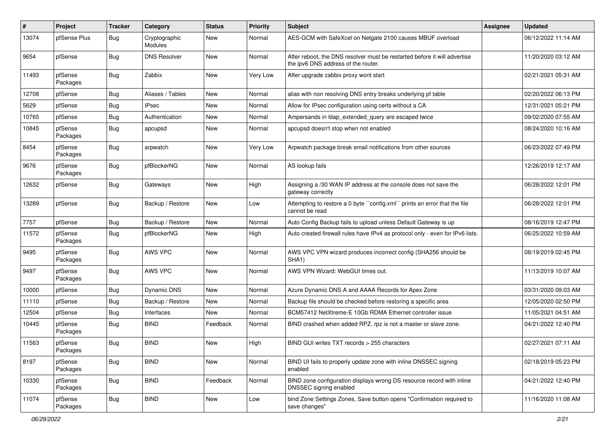| $\sharp$ | Project             | <b>Tracker</b> | Category                 | <b>Status</b> | <b>Priority</b> | <b>Subject</b>                                                                                                   | Assignee | <b>Updated</b>      |
|----------|---------------------|----------------|--------------------------|---------------|-----------------|------------------------------------------------------------------------------------------------------------------|----------|---------------------|
| 13074    | pfSense Plus        | <b>Bug</b>     | Cryptographic<br>Modules | <b>New</b>    | Normal          | AES-GCM with SafeXcel on Netgate 2100 causes MBUF overload                                                       |          | 06/12/2022 11:14 AM |
| 9654     | pfSense             | Bug            | <b>DNS Resolver</b>      | <b>New</b>    | Normal          | After reboot, the DNS resolver must be restarted before it will advertise<br>the ipv6 DNS address of the router. |          | 11/20/2020 03:12 AM |
| 11493    | pfSense<br>Packages | Bug            | Zabbix                   | New           | Very Low        | After upgrade zabbix proxy wont start                                                                            |          | 02/21/2021 05:31 AM |
| 12708    | pfSense             | <b>Bug</b>     | Aliases / Tables         | <b>New</b>    | Normal          | alias with non resolving DNS entry breaks underlying pf table                                                    |          | 02/20/2022 06:13 PM |
| 5629     | pfSense             | <b>Bug</b>     | <b>IPsec</b>             | New           | Normal          | Allow for IPsec configuration using certs without a CA                                                           |          | 12/31/2021 05:21 PM |
| 10765    | pfSense             | Bug            | Authentication           | New           | Normal          | Ampersands in Idap_extended_query are escaped twice                                                              |          | 09/02/2020 07:55 AM |
| 10845    | pfSense<br>Packages | Bug            | apcupsd                  | New           | Normal          | apcupsd doesn't stop when not enabled                                                                            |          | 08/24/2020 10:16 AM |
| 8454     | pfSense<br>Packages | Bug            | arpwatch                 | <b>New</b>    | Very Low        | Arpwatch package break email notifications from other sources                                                    |          | 06/23/2022 07:49 PM |
| 9676     | pfSense<br>Packages | Bug            | pfBlockerNG              | New           | Normal          | AS lookup fails                                                                                                  |          | 12/26/2019 12:17 AM |
| 12632    | pfSense             | Bug            | Gateways                 | New           | High            | Assigning a /30 WAN IP address at the console does not save the<br>gateway correctly                             |          | 06/28/2022 12:01 PM |
| 13289    | pfSense             | Bug            | Backup / Restore         | New           | Low             | Attempting to restore a 0 byte "config.xml" prints an error that the file<br>cannot be read                      |          | 06/28/2022 12:01 PM |
| 7757     | pfSense             | Bug            | Backup / Restore         | New           | Normal          | Auto Config Backup fails to upload unless Default Gateway is up                                                  |          | 08/16/2019 12:47 PM |
| 11572    | pfSense<br>Packages | Bug            | pfBlockerNG              | New           | High            | Auto created firewall rules have IPv4 as protocol only - even for IPv6 lists.                                    |          | 06/25/2022 10:59 AM |
| 9495     | pfSense<br>Packages | Bug            | AWS VPC                  | New           | Normal          | AWS VPC VPN wizard produces incorrect config (SHA256 should be<br>SHA1)                                          |          | 08/19/2019 02:45 PM |
| 9497     | pfSense<br>Packages | Bug            | AWS VPC                  | <b>New</b>    | Normal          | AWS VPN Wizard: WebGUI times out.                                                                                |          | 11/13/2019 10:07 AM |
| 10000    | pfSense             | Bug            | Dynamic DNS              | New           | Normal          | Azure Dynamic DNS A and AAAA Records for Apex Zone                                                               |          | 03/31/2020 09:03 AM |
| 11110    | pfSense             | Bug            | Backup / Restore         | New           | Normal          | Backup file should be checked before restoring a specific area                                                   |          | 12/05/2020 02:50 PM |
| 12504    | pfSense             | Bug            | Interfaces               | New           | Normal          | BCM57412 NetXtreme-E 10Gb RDMA Ethernet controller issue                                                         |          | 11/05/2021 04:51 AM |
| 10445    | pfSense<br>Packages | Bug            | <b>BIND</b>              | Feedback      | Normal          | BIND crashed when added RPZ. rpz is not a master or slave zone.                                                  |          | 04/21/2022 12:40 PM |
| 11563    | pfSense<br>Packages | Bug            | <b>BIND</b>              | New           | High            | BIND GUI writes TXT records > 255 characters                                                                     |          | 02/27/2021 07:11 AM |
| 8197     | pfSense<br>Packages | Bug            | <b>BIND</b>              | New           | Normal          | BIND UI fails to properly update zone with inline DNSSEC signing<br>enabled                                      |          | 02/18/2019 05:23 PM |
| 10330    | pfSense<br>Packages | Bug            | <b>BIND</b>              | Feedback      | Normal          | BIND zone configuration displays wrong DS resource record with inline<br>DNSSEC signing enabled                  |          | 04/21/2022 12:40 PM |
| 11074    | pfSense<br>Packages | Bug            | <b>BIND</b>              | New           | Low             | bind Zone Settings Zones, Save button opens "Confirmation required to<br>save changes"                           |          | 11/16/2020 11:08 AM |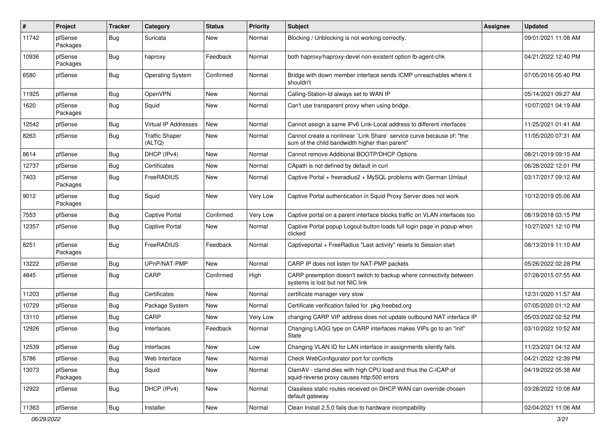| $\pmb{\#}$ | <b>Project</b>      | <b>Tracker</b> | Category                        | <b>Status</b> | <b>Priority</b> | <b>Subject</b>                                                                                                          | <b>Assignee</b> | <b>Updated</b>      |
|------------|---------------------|----------------|---------------------------------|---------------|-----------------|-------------------------------------------------------------------------------------------------------------------------|-----------------|---------------------|
| 11742      | pfSense<br>Packages | Bug            | Suricata                        | New           | Normal          | Blocking / Unblocking is not working correctly.                                                                         |                 | 09/01/2021 11:08 AM |
| 10936      | pfSense<br>Packages | Bug            | haproxy                         | Feedback      | Normal          | both haproxy/haproxy-devel non-existent option lb-agent-chk                                                             |                 | 04/21/2022 12:40 PM |
| 6580       | pfSense             | Bug            | <b>Operating System</b>         | Confirmed     | Normal          | Bridge with down member interface sends ICMP unreachables where it<br>shouldn't                                         |                 | 07/05/2016 05:40 PM |
| 11925      | pfSense             | Bug            | OpenVPN                         | <b>New</b>    | Normal          | Calling-Station-Id always set to WAN IP                                                                                 |                 | 05/14/2021 09:27 AM |
| 1620       | pfSense<br>Packages | Bug            | Squid                           | New           | Normal          | Can't use transparent proxy when using bridge.                                                                          |                 | 10/07/2021 04:19 AM |
| 12542      | pfSense             | Bug            | Virtual IP Addresses            | <b>New</b>    | Normal          | Cannot assign a same IPv6 Link-Local address to different interfaces                                                    |                 | 11/25/2021 01:41 AM |
| 8263       | pfSense             | Bug            | <b>Traffic Shaper</b><br>(ALTQ) | New           | Normal          | Cannot create a nonlinear `Link Share` service curve because of: "the<br>sum of the child bandwidth higher than parent" |                 | 11/05/2020 07:31 AM |
| 8614       | pfSense             | <b>Bug</b>     | DHCP (IPv4)                     | <b>New</b>    | Normal          | Cannot remove Additional BOOTP/DHCP Options                                                                             |                 | 08/21/2019 09:15 AM |
| 12737      | pfSense             | <b>Bug</b>     | Certificates                    | New           | Normal          | CApath is not defined by default in curl                                                                                |                 | 06/28/2022 12:01 PM |
| 7403       | pfSense<br>Packages | Bug            | FreeRADIUS                      | New           | Normal          | Captive Portal + freeradius2 + MySQL problems with German Umlaut                                                        |                 | 03/17/2017 09:12 AM |
| 9012       | pfSense<br>Packages | Bug            | Squid                           | New           | Very Low        | Captive Portal authentication in Squid Proxy Server does not work                                                       |                 | 10/12/2019 05:06 AM |
| 7553       | pfSense             | Bug            | <b>Captive Portal</b>           | Confirmed     | Very Low        | Captive portal on a parent interface blocks traffic on VLAN interfaces too                                              |                 | 08/19/2018 03:15 PM |
| 12357      | pfSense             | Bug            | Captive Portal                  | New           | Normal          | Captive Portal popup Logout button loads full login page in popup when<br>clicked                                       |                 | 10/27/2021 12:10 PM |
| 8251       | pfSense<br>Packages | Bug            | FreeRADIUS                      | Feedback      | Normal          | Captiveportal + FreeRadius "Last activity" resets to Session start                                                      |                 | 08/13/2019 11:10 AM |
| 13222      | pfSense             | <b>Bug</b>     | UPnP/NAT-PMP                    | New           | Normal          | CARP IP does not listen for NAT-PMP packets                                                                             |                 | 05/26/2022 02:28 PM |
| 4845       | pfSense             | Bug            | CARP                            | Confirmed     | High            | CARP preemption doesn't switch to backup where connectivity between<br>systems is lost but not NIC link                 |                 | 07/28/2015 07:55 AM |
| 11203      | pfSense             | Bug            | Certificates                    | New           | Normal          | certificate manager very slow                                                                                           |                 | 12/31/2020 11:57 AM |
| 10729      | pfSense             | <b>Bug</b>     | Package System                  | New           | Normal          | Certificate verification failed for pkg.freebsd.org                                                                     |                 | 07/05/2020 01:12 AM |
| 13110      | pfSense             | <b>Bug</b>     | CARP                            | New           | Very Low        | changing CARP VIP address does not update outbound NAT interface IP                                                     |                 | 05/03/2022 02:52 PM |
| 12926      | pfSense             | Bug            | Interfaces                      | Feedback      | Normal          | Changing LAGG type on CARP interfaces makes VIPs go to an "init"<br>State                                               |                 | 03/10/2022 10:52 AM |
| 12539      | pfSense             | Bug            | Interfaces                      | New           | Low             | Changing VLAN ID for LAN interface in assignments silently fails.                                                       |                 | 11/23/2021 04:12 AM |
| 5786       | pfSense             | <b>Bug</b>     | Web Interface                   | New           | Normal          | Check WebConfigurator port for conflicts                                                                                |                 | 04/21/2022 12:39 PM |
| 13073      | pfSense<br>Packages | <b>Bug</b>     | Squid                           | New           | Normal          | ClamAV - clamd dies with high CPU load and thus the C-ICAP of<br>squid-reverse proxy causes http:500 errors             |                 | 04/19/2022 05:38 AM |
| 12922      | pfSense             | <b>Bug</b>     | DHCP (IPv4)                     | New           | Normal          | Classless static routes received on DHCP WAN can override chosen<br>default gateway                                     |                 | 03/28/2022 10:08 AM |
| 11363      | pfSense             | <b>Bug</b>     | Installer                       | New           | Normal          | Clean Install 2.5.0 fails due to hardware incompability                                                                 |                 | 02/04/2021 11:06 AM |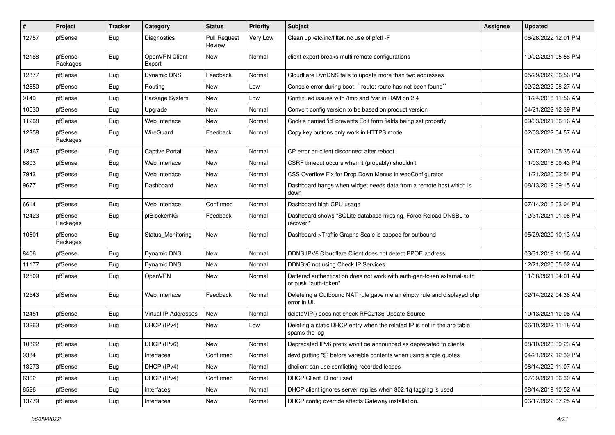| #     | Project             | <b>Tracker</b> | Category                    | <b>Status</b>                 | <b>Priority</b> | <b>Subject</b>                                                                                  | Assignee | <b>Updated</b>      |
|-------|---------------------|----------------|-----------------------------|-------------------------------|-----------------|-------------------------------------------------------------------------------------------------|----------|---------------------|
| 12757 | pfSense             | Bug            | Diagnostics                 | <b>Pull Request</b><br>Review | Very Low        | Clean up /etc/inc/filter.inc use of pfctl -F                                                    |          | 06/28/2022 12:01 PM |
| 12188 | pfSense<br>Packages | Bug            | OpenVPN Client<br>Export    | New                           | Normal          | client export breaks multi remote configurations                                                |          | 10/02/2021 05:58 PM |
| 12877 | pfSense             | Bug            | Dynamic DNS                 | Feedback                      | Normal          | Cloudflare DynDNS fails to update more than two addresses                                       |          | 05/29/2022 06:56 PM |
| 12850 | pfSense             | <b>Bug</b>     | Routing                     | <b>New</b>                    | Low             | Console error during boot: "route: route has not been found"                                    |          | 02/22/2022 08:27 AM |
| 9149  | pfSense             | Bug            | Package System              | New                           | Low             | Continued issues with /tmp and /var in RAM on 2.4                                               |          | 11/24/2018 11:56 AM |
| 10530 | pfSense             | <b>Bug</b>     | Upgrade                     | <b>New</b>                    | Normal          | Convert config version to be based on product version                                           |          | 04/21/2022 12:39 PM |
| 11268 | pfSense             | Bug            | Web Interface               | New                           | Normal          | Cookie named 'id' prevents Edit form fields being set properly                                  |          | 09/03/2021 06:16 AM |
| 12258 | pfSense<br>Packages | Bug            | WireGuard                   | Feedback                      | Normal          | Copy key buttons only work in HTTPS mode                                                        |          | 02/03/2022 04:57 AM |
| 12467 | pfSense             | <b>Bug</b>     | <b>Captive Portal</b>       | <b>New</b>                    | Normal          | CP error on client disconnect after reboot                                                      |          | 10/17/2021 05:35 AM |
| 6803  | pfSense             | Bug            | Web Interface               | <b>New</b>                    | Normal          | CSRF timeout occurs when it (probably) shouldn't                                                |          | 11/03/2016 09:43 PM |
| 7943  | pfSense             | <b>Bug</b>     | Web Interface               | New                           | Normal          | CSS Overflow Fix for Drop Down Menus in webConfigurator                                         |          | 11/21/2020 02:54 PM |
| 9677  | pfSense             | <b>Bug</b>     | Dashboard                   | New                           | Normal          | Dashboard hangs when widget needs data from a remote host which is<br>down                      |          | 08/13/2019 09:15 AM |
| 6614  | pfSense             | Bug            | Web Interface               | Confirmed                     | Normal          | Dashboard high CPU usage                                                                        |          | 07/14/2016 03:04 PM |
| 12423 | pfSense<br>Packages | Bug            | pfBlockerNG                 | Feedback                      | Normal          | Dashboard shows "SQLite database missing, Force Reload DNSBL to<br>recover!"                    |          | 12/31/2021 01:06 PM |
| 10601 | pfSense<br>Packages | Bug            | Status_Monitoring           | New                           | Normal          | Dashboard->Traffic Graphs Scale is capped for outbound                                          |          | 05/29/2020 10:13 AM |
| 8406  | pfSense             | <b>Bug</b>     | Dynamic DNS                 | <b>New</b>                    | Normal          | DDNS IPV6 Cloudflare Client does not detect PPOE address                                        |          | 03/31/2018 11:56 AM |
| 11177 | pfSense             | Bug            | Dynamic DNS                 | New                           | Normal          | DDNSv6 not using Check IP Services                                                              |          | 12/21/2020 05:02 AM |
| 12509 | pfSense             | Bug            | OpenVPN                     | <b>New</b>                    | Normal          | Deffered authentication does not work with auth-gen-token external-auth<br>or pusk "auth-token" |          | 11/08/2021 04:01 AM |
| 12543 | pfSense             | <b>Bug</b>     | Web Interface               | Feedback                      | Normal          | Deleteing a Outbound NAT rule gave me an empty rule and displayed php<br>error in UI.           |          | 02/14/2022 04:36 AM |
| 12451 | pfSense             | Bug            | <b>Virtual IP Addresses</b> | New                           | Normal          | deleteVIP() does not check RFC2136 Update Source                                                |          | 10/13/2021 10:06 AM |
| 13263 | pfSense             | Bug            | DHCP (IPv4)                 | New                           | Low             | Deleting a static DHCP entry when the related IP is not in the arp table<br>spams the log       |          | 06/10/2022 11:18 AM |
| 10822 | pfSense             | <b>Bug</b>     | DHCP (IPv6)                 | New                           | Normal          | Deprecated IPv6 prefix won't be announced as deprecated to clients                              |          | 08/10/2020 09:23 AM |
| 9384  | pfSense             | Bug            | Interfaces                  | Confirmed                     | Normal          | devd putting "\$" before variable contents when using single quotes                             |          | 04/21/2022 12:39 PM |
| 13273 | pfSense             | Bug            | DHCP (IPv4)                 | New                           | Normal          | dhclient can use conflicting recorded leases                                                    |          | 06/14/2022 11:07 AM |
| 6362  | pfSense             | <b>Bug</b>     | DHCP (IPv4)                 | Confirmed                     | Normal          | DHCP Client ID not used                                                                         |          | 07/09/2021 06:30 AM |
| 8526  | pfSense             | <b>Bug</b>     | Interfaces                  | New                           | Normal          | DHCP client ignores server replies when 802.1q tagging is used                                  |          | 08/14/2019 10:52 AM |
| 13279 | pfSense             | Bug            | Interfaces                  | New                           | Normal          | DHCP config override affects Gateway installation.                                              |          | 06/17/2022 07:25 AM |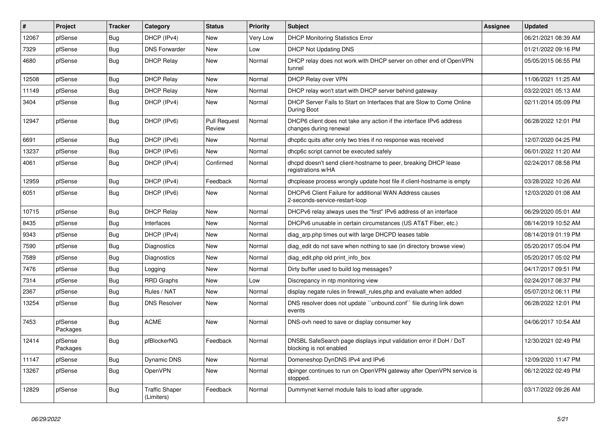| $\vert$ # | Project             | <b>Tracker</b> | Category                            | <b>Status</b>                 | <b>Priority</b> | <b>Subject</b>                                                                                | <b>Assignee</b> | <b>Updated</b>      |
|-----------|---------------------|----------------|-------------------------------------|-------------------------------|-----------------|-----------------------------------------------------------------------------------------------|-----------------|---------------------|
| 12067     | pfSense             | Bug            | DHCP (IPv4)                         | <b>New</b>                    | Very Low        | <b>DHCP Monitoring Statistics Error</b>                                                       |                 | 06/21/2021 08:39 AM |
| 7329      | pfSense             | <b>Bug</b>     | <b>DNS Forwarder</b>                | <b>New</b>                    | Low             | <b>DHCP Not Updating DNS</b>                                                                  |                 | 01/21/2022 09:16 PM |
| 4680      | pfSense             | Bug            | <b>DHCP Relay</b>                   | New                           | Normal          | DHCP relay does not work with DHCP server on other end of OpenVPN<br>tunnel                   |                 | 05/05/2015 06:55 PM |
| 12508     | pfSense             | <b>Bug</b>     | <b>DHCP Relay</b>                   | New                           | Normal          | <b>DHCP Relay over VPN</b>                                                                    |                 | 11/06/2021 11:25 AM |
| 11149     | pfSense             | <b>Bug</b>     | <b>DHCP Relay</b>                   | New                           | Normal          | DHCP relay won't start with DHCP server behind gateway                                        |                 | 03/22/2021 05:13 AM |
| 3404      | pfSense             | <b>Bug</b>     | DHCP (IPv4)                         | <b>New</b>                    | Normal          | DHCP Server Fails to Start on Interfaces that are Slow to Come Online<br>During Boot          |                 | 02/11/2014 05:09 PM |
| 12947     | pfSense             | Bug            | DHCP (IPv6)                         | <b>Pull Request</b><br>Review | Normal          | DHCP6 client does not take any action if the interface IPv6 address<br>changes during renewal |                 | 06/28/2022 12:01 PM |
| 6691      | pfSense             | <b>Bug</b>     | DHCP (IPv6)                         | <b>New</b>                    | Normal          | dhcp6c quits after only two tries if no response was received                                 |                 | 12/07/2020 04:25 PM |
| 13237     | pfSense             | <b>Bug</b>     | DHCP (IPv6)                         | <b>New</b>                    | Normal          | dhcp6c script cannot be executed safely                                                       |                 | 06/01/2022 11:20 AM |
| 4061      | pfSense             | Bug            | DHCP (IPv4)                         | Confirmed                     | Normal          | dhcpd doesn't send client-hostname to peer, breaking DHCP lease<br>registrations w/HA         |                 | 02/24/2017 08:58 PM |
| 12959     | pfSense             | <b>Bug</b>     | DHCP (IPv4)                         | Feedback                      | Normal          | dhoplease process wrongly update host file if client-hostname is empty                        |                 | 03/28/2022 10:26 AM |
| 6051      | pfSense             | Bug            | DHCP (IPv6)                         | <b>New</b>                    | Normal          | DHCPv6 Client Failure for additional WAN Address causes<br>2-seconds-service-restart-loop     |                 | 12/03/2020 01:08 AM |
| 10715     | pfSense             | <b>Bug</b>     | <b>DHCP Relay</b>                   | New                           | Normal          | DHCPv6 relay always uses the "first" IPv6 address of an interface                             |                 | 06/29/2020 05:01 AM |
| 8435      | pfSense             | Bug            | Interfaces                          | <b>New</b>                    | Normal          | DHCPv6 unusable in certain circumstances (US AT&T Fiber, etc.)                                |                 | 08/14/2019 10:52 AM |
| 9343      | pfSense             | <b>Bug</b>     | DHCP (IPv4)                         | <b>New</b>                    | Normal          | diag arp.php times out with large DHCPD leases table                                          |                 | 08/14/2019 01:19 PM |
| 7590      | pfSense             | <b>Bug</b>     | Diagnostics                         | <b>New</b>                    | Normal          | diag edit do not save when nothing to sae (in directory browse view)                          |                 | 05/20/2017 05:04 PM |
| 7589      | pfSense             | <b>Bug</b>     | Diagnostics                         | <b>New</b>                    | Normal          | diag edit.php old print info box                                                              |                 | 05/20/2017 05:02 PM |
| 7476      | pfSense             | <b>Bug</b>     | Logging                             | <b>New</b>                    | Normal          | Dirty buffer used to build log messages?                                                      |                 | 04/17/2017 09:51 PM |
| 7314      | pfSense             | <b>Bug</b>     | <b>RRD Graphs</b>                   | <b>New</b>                    | Low             | Discrepancy in ntp monitoring view                                                            |                 | 02/24/2017 08:37 PM |
| 2367      | pfSense             | <b>Bug</b>     | Rules / NAT                         | New                           | Normal          | display negate rules in firewall_rules.php and evaluate when added                            |                 | 05/07/2012 06:11 PM |
| 13254     | pfSense             | <b>Bug</b>     | <b>DNS Resolver</b>                 | New                           | Normal          | DNS resolver does not update "unbound.conf" file during link down<br>events                   |                 | 06/28/2022 12:01 PM |
| 7453      | pfSense<br>Packages | <b>Bug</b>     | <b>ACME</b>                         | <b>New</b>                    | Normal          | DNS-ovh need to save or display consumer key                                                  |                 | 04/06/2017 10:54 AM |
| 12414     | pfSense<br>Packages | Bug            | pfBlockerNG                         | Feedback                      | Normal          | DNSBL SafeSearch page displays input validation error if DoH / DoT<br>blocking is not enabled |                 | 12/30/2021 02:49 PM |
| 11147     | pfSense             | Bug            | <b>Dynamic DNS</b>                  | <b>New</b>                    | Normal          | Domeneshop DynDNS IPv4 and IPv6                                                               |                 | 12/09/2020 11:47 PM |
| 13267     | pfSense             | <b>Bug</b>     | OpenVPN                             | New                           | Normal          | dpinger continues to run on OpenVPN gateway after OpenVPN service is<br>stopped.              |                 | 06/12/2022 02:49 PM |
| 12829     | pfSense             | <b>Bug</b>     | <b>Traffic Shaper</b><br>(Limiters) | Feedback                      | Normal          | Dummynet kernel module fails to load after upgrade.                                           |                 | 03/17/2022 09:26 AM |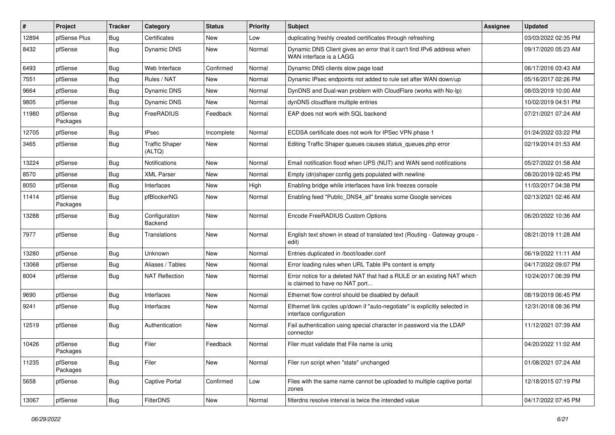| $\vert$ # | Project             | Tracker    | Category                        | <b>Status</b> | <b>Priority</b> | <b>Subject</b>                                                                                            | <b>Assignee</b> | <b>Updated</b>      |
|-----------|---------------------|------------|---------------------------------|---------------|-----------------|-----------------------------------------------------------------------------------------------------------|-----------------|---------------------|
| 12894     | pfSense Plus        | Bug        | Certificates                    | New           | Low             | duplicating freshly created certificates through refreshing                                               |                 | 03/03/2022 02:35 PM |
| 8432      | pfSense             | Bug        | <b>Dynamic DNS</b>              | New           | Normal          | Dynamic DNS Client gives an error that it can't find IPv6 address when<br>WAN interface is a LAGG         |                 | 09/17/2020 05:23 AM |
| 6493      | pfSense             | <b>Bug</b> | Web Interface                   | Confirmed     | Normal          | Dynamic DNS clients slow page load                                                                        |                 | 06/17/2016 03:43 AM |
| 7551      | pfSense             | Bug        | Rules / NAT                     | <b>New</b>    | Normal          | Dynamic IPsec endpoints not added to rule set after WAN down/up                                           |                 | 05/16/2017 02:26 PM |
| 9664      | pfSense             | Bug        | Dynamic DNS                     | <b>New</b>    | Normal          | DynDNS and Dual-wan problem with CloudFlare (works with No-Ip)                                            |                 | 08/03/2019 10:00 AM |
| 9805      | pfSense             | Bug        | Dynamic DNS                     | <b>New</b>    | Normal          | dynDNS cloudflare multiple entries                                                                        |                 | 10/02/2019 04:51 PM |
| 11980     | pfSense<br>Packages | <b>Bug</b> | FreeRADIUS                      | Feedback      | Normal          | EAP does not work with SQL backend                                                                        |                 | 07/21/2021 07:24 AM |
| 12705     | pfSense             | Bug        | <b>IPsec</b>                    | Incomplete    | Normal          | ECDSA certificate does not work for IPSec VPN phase 1                                                     |                 | 01/24/2022 03:22 PM |
| 3465      | pfSense             | Bug        | <b>Traffic Shaper</b><br>(ALTQ) | New           | Normal          | Editing Traffic Shaper queues causes status_queues.php error                                              |                 | 02/19/2014 01:53 AM |
| 13224     | pfSense             | Bug        | Notifications                   | <b>New</b>    | Normal          | Email notification flood when UPS (NUT) and WAN send notifications                                        |                 | 05/27/2022 01:58 AM |
| 8570      | pfSense             | Bug        | <b>XML Parser</b>               | <b>New</b>    | Normal          | Empty (dn)shaper config gets populated with newline                                                       |                 | 08/20/2019 02:45 PM |
| 8050      | pfSense             | Bug        | Interfaces                      | <b>New</b>    | High            | Enabling bridge while interfaces have link freezes console                                                |                 | 11/03/2017 04:38 PM |
| 11414     | pfSense<br>Packages | <b>Bug</b> | pfBlockerNG                     | New           | Normal          | Enabling feed "Public_DNS4_all" breaks some Google services                                               |                 | 02/13/2021 02:46 AM |
| 13288     | pfSense             | Bug        | Configuration<br>Backend        | <b>New</b>    | Normal          | Encode FreeRADIUS Custom Options                                                                          |                 | 06/20/2022 10:36 AM |
| 7977      | pfSense             | Bug        | Translations                    | <b>New</b>    | Normal          | English text shown in stead of translated text (Routing - Gateway groups -<br>edit)                       |                 | 08/21/2019 11:28 AM |
| 13280     | pfSense             | <b>Bug</b> | Unknown                         | <b>New</b>    | Normal          | Entries duplicated in /boot/loader.conf                                                                   |                 | 06/19/2022 11:11 AM |
| 13068     | pfSense             | <b>Bug</b> | Aliases / Tables                | <b>New</b>    | Normal          | Error loading rules when URL Table IPs content is empty                                                   |                 | 04/17/2022 09:07 PM |
| 8004      | pfSense             | Bug        | <b>NAT Reflection</b>           | <b>New</b>    | Normal          | Error notice for a deleted NAT that had a RULE or an existing NAT which<br>is claimed to have no NAT port |                 | 10/24/2017 06:39 PM |
| 9690      | pfSense             | Bug        | Interfaces                      | <b>New</b>    | Normal          | Ethernet flow control should be disabled by default                                                       |                 | 08/19/2019 06:45 PM |
| 9241      | pfSense             | Bug        | Interfaces                      | New           | Normal          | Ethernet link cycles up/down if "auto-negotiate" is explicitly selected in<br>interface configuration     |                 | 12/31/2018 08:36 PM |
| 12519     | pfSense             | <b>Bug</b> | Authentication                  | New           | Normal          | Fail authentication using special character in password via the LDAP<br>connector                         |                 | 11/12/2021 07:39 AM |
| 10426     | pfSense<br>Packages | Bug        | Filer                           | Feedback      | Normal          | Filer must validate that File name is unig                                                                |                 | 04/20/2022 11:02 AM |
| 11235     | pfSense<br>Packages | <b>Bug</b> | Filer                           | New           | Normal          | Filer run script when "state" unchanged                                                                   |                 | 01/08/2021 07:24 AM |
| 5658      | pfSense             | <b>Bug</b> | <b>Captive Portal</b>           | Confirmed     | Low             | Files with the same name cannot be uploaded to multiple captive portal<br>zones                           |                 | 12/18/2015 07:19 PM |
| 13067     | pfSense             | Bug        | FilterDNS                       | New           | Normal          | filterdns resolve interval is twice the intended value                                                    |                 | 04/17/2022 07:45 PM |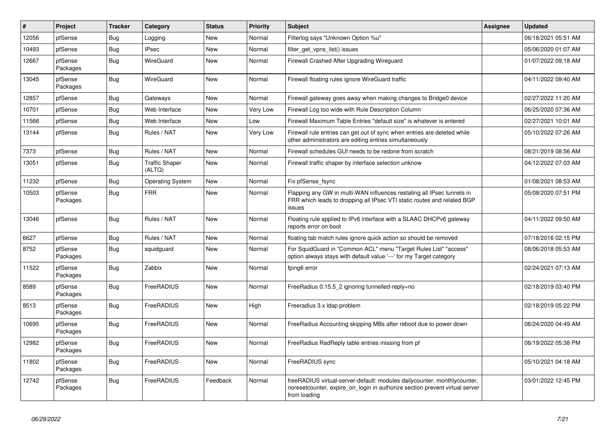| $\vert$ # | Project             | <b>Tracker</b> | Category                        | <b>Status</b> | Priority | <b>Subject</b>                                                                                                                                                          | <b>Assignee</b> | <b>Updated</b>      |
|-----------|---------------------|----------------|---------------------------------|---------------|----------|-------------------------------------------------------------------------------------------------------------------------------------------------------------------------|-----------------|---------------------|
| 12056     | pfSense             | Bug            | Logging                         | New           | Normal   | Filterlog says "Unknown Option %u"                                                                                                                                      |                 | 06/18/2021 05:51 AM |
| 10493     | pfSense             | <b>Bug</b>     | <b>IPsec</b>                    | <b>New</b>    | Normal   | filter get vpns list() issues                                                                                                                                           |                 | 05/06/2020 01:07 AM |
| 12667     | pfSense<br>Packages | Bug            | WireGuard                       | <b>New</b>    | Normal   | Firewall Crashed After Upgrading Wireguard                                                                                                                              |                 | 01/07/2022 09:18 AM |
| 13045     | pfSense<br>Packages | Bug            | WireGuard                       | <b>New</b>    | Normal   | Firewall floating rules ignore WireGuard traffic                                                                                                                        |                 | 04/11/2022 09:40 AM |
| 12857     | pfSense             | Bug            | Gateways                        | <b>New</b>    | Normal   | Firewall gateway goes away when making changes to Bridge0 device                                                                                                        |                 | 02/27/2022 11:20 AM |
| 10701     | pfSense             | Bug            | Web Interface                   | <b>New</b>    | Very Low | Firewall Log too wide with Rule Description Column                                                                                                                      |                 | 06/25/2020 07:36 AM |
| 11566     | pfSense             | Bug            | Web Interface                   | <b>New</b>    | Low      | Firewall Maximum Table Entries "default size" is whatever is entered                                                                                                    |                 | 02/27/2021 10:01 AM |
| 13144     | pfSense             | Bug            | Rules / NAT                     | <b>New</b>    | Very Low | Firewall rule entries can get out of sync when entries are deleted while<br>other administrators are editing entries simultaneously                                     |                 | 05/10/2022 07:26 AM |
| 7373      | pfSense             | <b>Bug</b>     | Rules / NAT                     | <b>New</b>    | Normal   | Firewall schedules GUI needs to be redone from scratch                                                                                                                  |                 | 08/21/2019 08:56 AM |
| 13051     | pfSense             | Bug            | <b>Traffic Shaper</b><br>(ALTQ) | <b>New</b>    | Normal   | Firewall traffic shaper by interface selection unknow                                                                                                                   |                 | 04/12/2022 07:03 AM |
| 11232     | pfSense             | <b>Bug</b>     | <b>Operating System</b>         | <b>New</b>    | Normal   | Fix pfSense fsync                                                                                                                                                       |                 | 01/08/2021 08:53 AM |
| 10503     | pfSense<br>Packages | Bug            | <b>FRR</b>                      | <b>New</b>    | Normal   | Flapping any GW in multi-WAN influences restating all IPsec tunnels in<br>FRR which leads to dropping all IPsec VTI static routes and related BGP<br>issues             |                 | 05/08/2020 07:51 PM |
| 13046     | pfSense             | Bug            | Rules / NAT                     | <b>New</b>    | Normal   | Floating rule applied to IPv6 interface with a SLAAC DHCPv6 gateway<br>reports error on boot                                                                            |                 | 04/11/2022 09:50 AM |
| 6627      | pfSense             | Bug            | Rules / NAT                     | <b>New</b>    | Normal   | floating tab match rules ignore quick action so should be removed                                                                                                       |                 | 07/18/2016 02:15 PM |
| 8752      | pfSense<br>Packages | Bug            | squidguard                      | <b>New</b>    | Normal   | For SquidGuard in "Common ACL" menu "Target Rules List" "access"<br>option always stays with default value '---' for my Target category                                 |                 | 08/06/2018 05:53 AM |
| 11522     | pfSense<br>Packages | Bug            | Zabbix                          | <b>New</b>    | Normal   | fping6 error                                                                                                                                                            |                 | 02/24/2021 07:13 AM |
| 8589      | pfSense<br>Packages | <b>Bug</b>     | FreeRADIUS                      | <b>New</b>    | Normal   | FreeRadius 0.15.5_2 ignoring tunnelled-reply=no                                                                                                                         |                 | 02/18/2019 03:40 PM |
| 8513      | pfSense<br>Packages | Bug            | FreeRADIUS                      | <b>New</b>    | High     | Freeradius 3.x Idap problem                                                                                                                                             |                 | 02/18/2019 05:22 PM |
| 10695     | pfSense<br>Packages | <b>Bug</b>     | FreeRADIUS                      | <b>New</b>    | Normal   | FreeRadius Accounting skipping MBs after reboot due to power down                                                                                                       |                 | 06/24/2020 04:49 AM |
| 12982     | pfSense<br>Packages | Bug            | FreeRADIUS                      | New           | Normal   | FreeRadius RadReply table entries missing from pf                                                                                                                       |                 | 06/19/2022 05:38 PM |
| 11802     | pfSense<br>Packages | Bug            | FreeRADIUS                      | <b>New</b>    | Normal   | FreeRADIUS sync                                                                                                                                                         |                 | 05/10/2021 04:18 AM |
| 12742     | pfSense<br>Packages | Bug            | FreeRADIUS                      | Feedback      | Normal   | freeRADIUS virtual-server-default: modules dailycounter, monthlycounter,<br>noresetcounter, expire on login in authorize section prevent virtual server<br>from loading |                 | 03/01/2022 12:45 PM |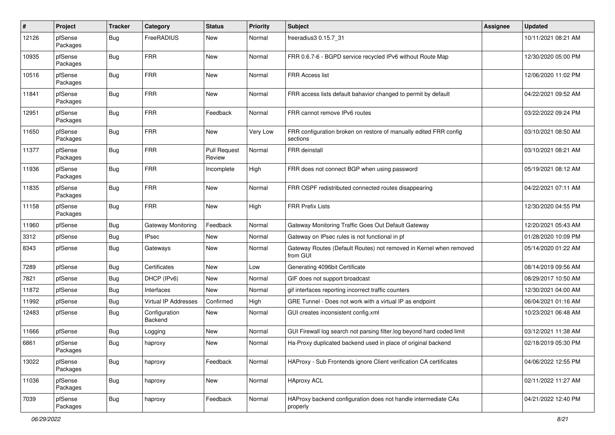| #     | Project             | <b>Tracker</b> | Category                  | <b>Status</b>                 | <b>Priority</b> | <b>Subject</b>                                                                 | Assignee | <b>Updated</b>      |
|-------|---------------------|----------------|---------------------------|-------------------------------|-----------------|--------------------------------------------------------------------------------|----------|---------------------|
| 12126 | pfSense<br>Packages | <b>Bug</b>     | FreeRADIUS                | New                           | Normal          | freeradius3 0.15.7_31                                                          |          | 10/11/2021 08:21 AM |
| 10935 | pfSense<br>Packages | Bug            | <b>FRR</b>                | <b>New</b>                    | Normal          | FRR 0.6.7-6 - BGPD service recycled IPv6 without Route Map                     |          | 12/30/2020 05:00 PM |
| 10516 | pfSense<br>Packages | Bug            | <b>FRR</b>                | New                           | Normal          | <b>FRR Access list</b>                                                         |          | 12/06/2020 11:02 PM |
| 11841 | pfSense<br>Packages | Bug            | <b>FRR</b>                | <b>New</b>                    | Normal          | FRR access lists default bahavior changed to permit by default                 |          | 04/22/2021 09:52 AM |
| 12951 | pfSense<br>Packages | Bug            | <b>FRR</b>                | Feedback                      | Normal          | FRR cannot remove IPv6 routes                                                  |          | 03/22/2022 09:24 PM |
| 11650 | pfSense<br>Packages | Bug            | <b>FRR</b>                | <b>New</b>                    | Very Low        | FRR configuration broken on restore of manually edited FRR config<br>sections  |          | 03/10/2021 08:50 AM |
| 11377 | pfSense<br>Packages | Bug            | FRR                       | <b>Pull Request</b><br>Review | Normal          | FRR deinstall                                                                  |          | 03/10/2021 08:21 AM |
| 11936 | pfSense<br>Packages | Bug            | <b>FRR</b>                | Incomplete                    | High            | FRR does not connect BGP when using password                                   |          | 05/19/2021 08:12 AM |
| 11835 | pfSense<br>Packages | Bug            | <b>FRR</b>                | <b>New</b>                    | Normal          | FRR OSPF redistributed connected routes disappearing                           |          | 04/22/2021 07:11 AM |
| 11158 | pfSense<br>Packages | Bug            | <b>FRR</b>                | New                           | High            | <b>FRR Prefix Lists</b>                                                        |          | 12/30/2020 04:55 PM |
| 11960 | pfSense             | Bug            | <b>Gateway Monitoring</b> | Feedback                      | Normal          | Gateway Monitoring Traffic Goes Out Default Gateway                            |          | 12/20/2021 05:43 AM |
| 3312  | pfSense             | Bug            | <b>IPsec</b>              | <b>New</b>                    | Normal          | Gateway on IPsec rules is not functional in pf                                 |          | 01/28/2020 10:09 PM |
| 8343  | pfSense             | Bug            | Gateways                  | New                           | Normal          | Gateway Routes (Default Routes) not removed in Kernel when removed<br>from GUI |          | 05/14/2020 01:22 AM |
| 7289  | pfSense             | Bug            | Certificates              | <b>New</b>                    | Low             | Generating 4096bit Certificate                                                 |          | 08/14/2019 09:56 AM |
| 7821  | pfSense             | Bug            | DHCP (IPv6)               | New                           | Normal          | GIF does not support broadcast                                                 |          | 08/29/2017 10:50 AM |
| 11872 | pfSense             | <b>Bug</b>     | Interfaces                | <b>New</b>                    | Normal          | gif interfaces reporting incorrect traffic counters                            |          | 12/30/2021 04:00 AM |
| 11992 | pfSense             | Bug            | Virtual IP Addresses      | Confirmed                     | High            | GRE Tunnel - Does not work with a virtual IP as endpoint                       |          | 06/04/2021 01:16 AM |
| 12483 | pfSense             | Bug            | Configuration<br>Backend  | New                           | Normal          | GUI creates inconsistent config.xml                                            |          | 10/23/2021 06:48 AM |
| 11666 | pfSense             | <b>Bug</b>     | Logging                   | <b>New</b>                    | Normal          | GUI Firewall log search not parsing filter.log beyond hard coded limit         |          | 03/12/2021 11:38 AM |
| 6861  | pfSense<br>Packages | <b>Bug</b>     | haproxy                   | <b>New</b>                    | Normal          | Ha-Proxy duplicated backend used in place of original backend                  |          | 02/18/2019 05:30 PM |
| 13022 | pfSense<br>Packages | <b>Bug</b>     | haproxy                   | Feedback                      | Normal          | HAProxy - Sub Frontends ignore Client verification CA certificates             |          | 04/06/2022 12:55 PM |
| 11036 | pfSense<br>Packages | Bug            | haproxy                   | New                           | Normal          | <b>HAproxy ACL</b>                                                             |          | 02/11/2022 11:27 AM |
| 7039  | pfSense<br>Packages | <b>Bug</b>     | haproxy                   | Feedback                      | Normal          | HAProxy backend configuration does not handle intermediate CAs<br>properly     |          | 04/21/2022 12:40 PM |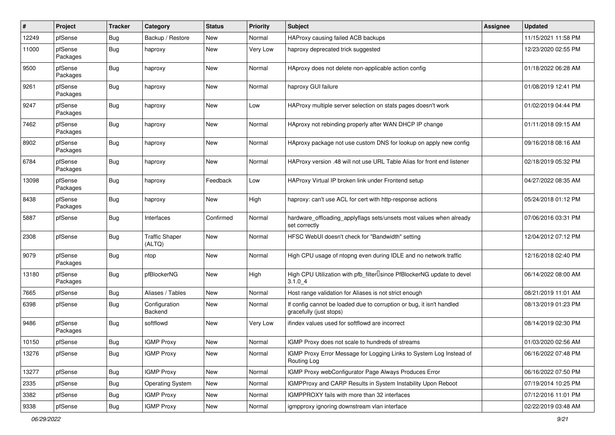| #     | Project             | <b>Tracker</b> | Category                        | <b>Status</b> | <b>Priority</b> | <b>Subject</b>                                                                                   | <b>Assignee</b> | <b>Updated</b>      |
|-------|---------------------|----------------|---------------------------------|---------------|-----------------|--------------------------------------------------------------------------------------------------|-----------------|---------------------|
| 12249 | pfSense             | <b>Bug</b>     | Backup / Restore                | New           | Normal          | HAProxy causing failed ACB backups                                                               |                 | 11/15/2021 11:58 PM |
| 11000 | pfSense<br>Packages | Bug            | haproxy                         | New           | Very Low        | haproxy deprecated trick suggested                                                               |                 | 12/23/2020 02:55 PM |
| 9500  | pfSense<br>Packages | Bug            | haproxy                         | <b>New</b>    | Normal          | HAproxy does not delete non-applicable action config                                             |                 | 01/18/2022 06:28 AM |
| 9261  | pfSense<br>Packages | Bug            | haproxy                         | <b>New</b>    | Normal          | haproxy GUI failure                                                                              |                 | 01/08/2019 12:41 PM |
| 9247  | pfSense<br>Packages | Bug            | haproxy                         | <b>New</b>    | Low             | HAProxy multiple server selection on stats pages doesn't work                                    |                 | 01/02/2019 04:44 PM |
| 7462  | pfSense<br>Packages | Bug            | haproxy                         | New           | Normal          | HAproxy not rebinding properly after WAN DHCP IP change                                          |                 | 01/11/2018 09:15 AM |
| 8902  | pfSense<br>Packages | Bug            | haproxy                         | New           | Normal          | HAproxy package not use custom DNS for lookup on apply new config                                |                 | 09/16/2018 08:16 AM |
| 6784  | pfSense<br>Packages | Bug            | haproxy                         | <b>New</b>    | Normal          | HAProxy version .48 will not use URL Table Alias for front end listener                          |                 | 02/18/2019 05:32 PM |
| 13098 | pfSense<br>Packages | Bug            | haproxy                         | Feedback      | Low             | HAProxy Virtual IP broken link under Frontend setup                                              |                 | 04/27/2022 08:35 AM |
| 8438  | pfSense<br>Packages | <b>Bug</b>     | haproxy                         | <b>New</b>    | High            | haproxy: can't use ACL for cert with http-response actions                                       |                 | 05/24/2018 01:12 PM |
| 5887  | pfSense             | Bug            | Interfaces                      | Confirmed     | Normal          | hardware_offloading_applyflags sets/unsets most values when already<br>set correctly             |                 | 07/06/2016 03:31 PM |
| 2308  | pfSense             | Bug            | <b>Traffic Shaper</b><br>(ALTQ) | New           | Normal          | HFSC WebUI doesn't check for "Bandwidth" setting                                                 |                 | 12/04/2012 07:12 PM |
| 9079  | pfSense<br>Packages | Bug            | ntop                            | <b>New</b>    | Normal          | High CPU usage of ntopng even during IDLE and no network traffic                                 |                 | 12/16/2018 02:40 PM |
| 13180 | pfSense<br>Packages | Bug            | pfBlockerNG                     | <b>New</b>    | High            | High CPU Utilization with pfb_filter <sup>[]</sup> since PfBlockerNG update to devel<br>3.1.04   |                 | 06/14/2022 08:00 AM |
| 7665  | pfSense             | Bug            | Aliases / Tables                | <b>New</b>    | Normal          | Host range validation for Aliases is not strict enough                                           |                 | 08/21/2019 11:01 AM |
| 6398  | pfSense             | Bug            | Configuration<br>Backend        | New           | Normal          | If config cannot be loaded due to corruption or bug, it isn't handled<br>gracefully (just stops) |                 | 08/13/2019 01:23 PM |
| 9486  | pfSense<br>Packages | <b>Bug</b>     | softflowd                       | New           | Very Low        | ifindex values used for softflowd are incorrect                                                  |                 | 08/14/2019 02:30 PM |
| 10150 | pfSense             | <b>Bug</b>     | <b>IGMP Proxy</b>               | <b>New</b>    | Normal          | IGMP Proxy does not scale to hundreds of streams                                                 |                 | 01/03/2020 02:56 AM |
| 13276 | pfSense             | <b>Bug</b>     | <b>IGMP Proxy</b>               | New           | Normal          | IGMP Proxy Error Message for Logging Links to System Log Instead of<br>Routing Log               |                 | 06/16/2022 07:48 PM |
| 13277 | pfSense             | Bug            | <b>IGMP Proxy</b>               | New           | Normal          | IGMP Proxy webConfigurator Page Always Produces Error                                            |                 | 06/16/2022 07:50 PM |
| 2335  | pfSense             | <b>Bug</b>     | <b>Operating System</b>         | New           | Normal          | <b>IGMPProxy and CARP Results in System Instability Upon Reboot</b>                              |                 | 07/19/2014 10:25 PM |
| 3382  | pfSense             | <b>Bug</b>     | <b>IGMP Proxy</b>               | New           | Normal          | IGMPPROXY fails with more than 32 interfaces                                                     |                 | 07/12/2016 11:01 PM |
| 9338  | pfSense             | Bug            | <b>IGMP Proxy</b>               | New           | Normal          | igmpproxy ignoring downstream vlan interface                                                     |                 | 02/22/2019 03:48 AM |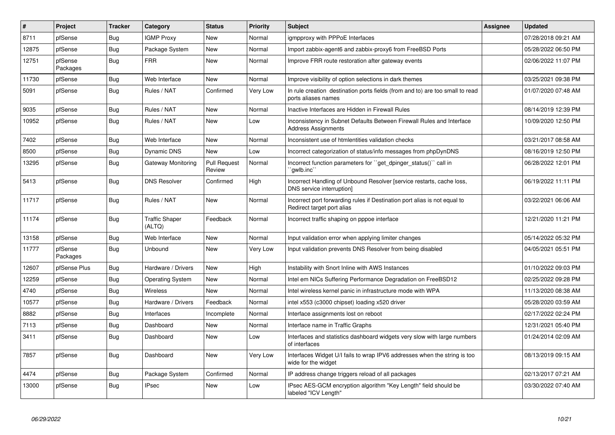| $\vert$ # | Project             | <b>Tracker</b> | Category                        | <b>Status</b>                 | <b>Priority</b> | <b>Subject</b>                                                                                          | Assignee | <b>Updated</b>      |
|-----------|---------------------|----------------|---------------------------------|-------------------------------|-----------------|---------------------------------------------------------------------------------------------------------|----------|---------------------|
| 8711      | pfSense             | <b>Bug</b>     | <b>IGMP Proxy</b>               | <b>New</b>                    | Normal          | igmpproxy with PPPoE Interfaces                                                                         |          | 07/28/2018 09:21 AM |
| 12875     | pfSense             | Bug            | Package System                  | <b>New</b>                    | Normal          | Import zabbix-agent6 and zabbix-proxy6 from FreeBSD Ports                                               |          | 05/28/2022 06:50 PM |
| 12751     | pfSense<br>Packages | <b>Bug</b>     | <b>FRR</b>                      | <b>New</b>                    | Normal          | Improve FRR route restoration after gateway events                                                      |          | 02/06/2022 11:07 PM |
| 11730     | pfSense             | Bug            | Web Interface                   | New                           | Normal          | Improve visibility of option selections in dark themes                                                  |          | 03/25/2021 09:38 PM |
| 5091      | pfSense             | <b>Bug</b>     | Rules / NAT                     | Confirmed                     | Very Low        | In rule creation destination ports fields (from and to) are too small to read<br>ports aliases names    |          | 01/07/2020 07:48 AM |
| 9035      | pfSense             | <b>Bug</b>     | Rules / NAT                     | <b>New</b>                    | Normal          | Inactive Interfaces are Hidden in Firewall Rules                                                        |          | 08/14/2019 12:39 PM |
| 10952     | pfSense             | <b>Bug</b>     | Rules / NAT                     | New                           | Low             | Inconsistency in Subnet Defaults Between Firewall Rules and Interface<br><b>Address Assignments</b>     |          | 10/09/2020 12:50 PM |
| 7402      | pfSense             | <b>Bug</b>     | Web Interface                   | New                           | Normal          | Inconsistent use of htmlentities validation checks                                                      |          | 03/21/2017 08:58 AM |
| 8500      | pfSense             | <b>Bug</b>     | <b>Dynamic DNS</b>              | <b>New</b>                    | Low             | Incorrect categorization of status/info messages from phpDynDNS                                         |          | 08/16/2019 12:50 PM |
| 13295     | pfSense             | Bug            | Gateway Monitoring              | <b>Pull Request</b><br>Review | Normal          | Incorrect function parameters for "get dpinger status()" call in<br>`gwlb.inc``                         |          | 06/28/2022 12:01 PM |
| 5413      | pfSense             | <b>Bug</b>     | <b>DNS Resolver</b>             | Confirmed                     | High            | Incorrect Handling of Unbound Resolver [service restarts, cache loss,<br>DNS service interruption]      |          | 06/19/2022 11:11 PM |
| 11717     | pfSense             | <b>Bug</b>     | Rules / NAT                     | <b>New</b>                    | Normal          | Incorrect port forwarding rules if Destination port alias is not equal to<br>Redirect target port alias |          | 03/22/2021 06:06 AM |
| 11174     | pfSense             | Bug            | <b>Traffic Shaper</b><br>(ALTQ) | Feedback                      | Normal          | Incorrect traffic shaping on pppoe interface                                                            |          | 12/21/2020 11:21 PM |
| 13158     | pfSense             | Bug            | Web Interface                   | <b>New</b>                    | Normal          | Input validation error when applying limiter changes                                                    |          | 05/14/2022 05:32 PM |
| 11777     | pfSense<br>Packages | <b>Bug</b>     | <b>Unbound</b>                  | <b>New</b>                    | Very Low        | Input validation prevents DNS Resolver from being disabled                                              |          | 04/05/2021 05:51 PM |
| 12607     | pfSense Plus        | Bug            | Hardware / Drivers              | <b>New</b>                    | High            | Instability with Snort Inline with AWS Instances                                                        |          | 01/10/2022 09:03 PM |
| 12259     | pfSense             | Bug            | <b>Operating System</b>         | <b>New</b>                    | Normal          | Intel em NICs Suffering Performance Degradation on FreeBSD12                                            |          | 02/25/2022 09:28 PM |
| 4740      | pfSense             | <b>Bug</b>     | Wireless                        | New                           | Normal          | Intel wireless kernel panic in infrastructure mode with WPA                                             |          | 11/13/2020 08:38 AM |
| 10577     | pfSense             | <b>Bug</b>     | Hardware / Drivers              | Feedback                      | Normal          | intel x553 (c3000 chipset) loading x520 driver                                                          |          | 05/28/2020 03:59 AM |
| 8882      | pfSense             | <b>Bug</b>     | Interfaces                      | Incomplete                    | Normal          | Interface assignments lost on reboot                                                                    |          | 02/17/2022 02:24 PM |
| 7113      | pfSense             | Bug            | Dashboard                       | <b>New</b>                    | Normal          | Interface name in Traffic Graphs                                                                        |          | 12/31/2021 05:40 PM |
| 3411      | pfSense             | <b>Bug</b>     | Dashboard                       | <b>New</b>                    | Low             | Interfaces and statistics dashboard widgets very slow with large numbers<br>of interfaces               |          | 01/24/2014 02:09 AM |
| 7857      | pfSense             | <b>Bug</b>     | Dashboard                       | <b>New</b>                    | Very Low        | Interfaces Widget U/I fails to wrap IPV6 addresses when the string is too<br>wide for the widget        |          | 08/13/2019 09:15 AM |
| 4474      | pfSense             | Bug            | Package System                  | Confirmed                     | Normal          | IP address change triggers reload of all packages                                                       |          | 02/13/2017 07:21 AM |
| 13000     | pfSense             | Bug            | <b>IPsec</b>                    | <b>New</b>                    | Low             | IPsec AES-GCM encryption algorithm "Key Length" field should be<br>labeled "ICV Length"                 |          | 03/30/2022 07:40 AM |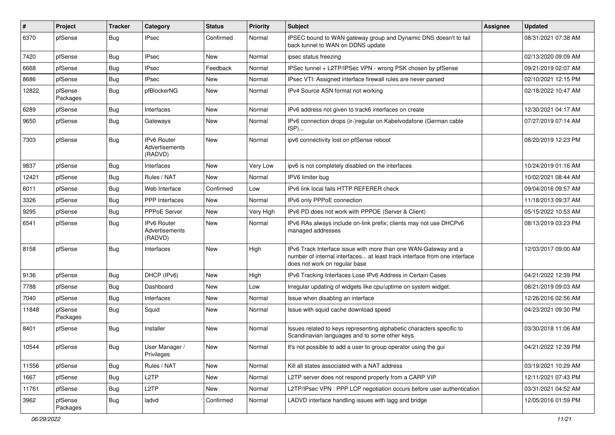| #     | Project             | <b>Tracker</b> | Category                                        | <b>Status</b> | <b>Priority</b> | <b>Subject</b>                                                                                                                                                                | Assignee | <b>Updated</b>      |
|-------|---------------------|----------------|-------------------------------------------------|---------------|-----------------|-------------------------------------------------------------------------------------------------------------------------------------------------------------------------------|----------|---------------------|
| 6370  | pfSense             | <b>Bug</b>     | IPsec                                           | Confirmed     | Normal          | IPSEC bound to WAN gateway group and Dynamic DNS doesn't to fail<br>back tunnel to WAN on DDNS update                                                                         |          | 08/31/2021 07:38 AM |
| 7420  | pfSense             | Bug            | <b>IPsec</b>                                    | <b>New</b>    | Normal          | ipsec status freezing                                                                                                                                                         |          | 02/13/2020 09:09 AM |
| 6668  | pfSense             | <b>Bug</b>     | IPsec                                           | Feedback      | Normal          | IPSec tunnel + L2TP/IPSec VPN - wrong PSK chosen by pfSense                                                                                                                   |          | 09/21/2019 02:07 AM |
| 8686  | pfSense             | Bug            | <b>IPsec</b>                                    | <b>New</b>    | Normal          | IPsec VTI: Assigned interface firewall rules are never parsed                                                                                                                 |          | 02/10/2021 12:15 PM |
| 12822 | pfSense<br>Packages | Bug            | pfBlockerNG                                     | <b>New</b>    | Normal          | IPv4 Source ASN format not working                                                                                                                                            |          | 02/18/2022 10:47 AM |
| 6289  | pfSense             | Bug            | Interfaces                                      | <b>New</b>    | Normal          | IPv6 address not given to track6 interfaces on create                                                                                                                         |          | 12/30/2021 04:17 AM |
| 9650  | pfSense             | Bug            | Gateways                                        | New           | Normal          | IPv6 connection drops (ir-)regular on Kabelvodafone (German cable<br>ISP)                                                                                                     |          | 07/27/2019 07:14 AM |
| 7303  | pfSense             | Bug            | IPv6 Router<br>Advertisements<br>(RADVD)        | New           | Normal          | ipv6 connectivity lost on pfSense reboot                                                                                                                                      |          | 08/20/2019 12:23 PM |
| 9837  | pfSense             | Bug            | Interfaces                                      | New           | Very Low        | ipv6 is not completely disabled on the interfaces                                                                                                                             |          | 10/24/2019 01:16 AM |
| 12421 | pfSense             | Bug            | Rules / NAT                                     | <b>New</b>    | Normal          | IPV6 limiter bug                                                                                                                                                              |          | 10/02/2021 08:44 AM |
| 6011  | pfSense             | <b>Bug</b>     | Web Interface                                   | Confirmed     | Low             | IPv6 link local fails HTTP REFERER check                                                                                                                                      |          | 09/04/2016 09:57 AM |
| 3326  | pfSense             | <b>Bug</b>     | PPP Interfaces                                  | <b>New</b>    | Normal          | IPv6 only PPPoE connection                                                                                                                                                    |          | 11/18/2013 09:37 AM |
| 9295  | pfSense             | Bug            | PPPoE Server                                    | New           | Very High       | IPv6 PD does not work with PPPOE (Server & Client)                                                                                                                            |          | 05/15/2022 10:53 AM |
| 6541  | pfSense             | <b>Bug</b>     | <b>IPv6 Router</b><br>Advertisements<br>(RADVD) | New           | Normal          | IPv6 RAs always include on-link prefix; clients may not use DHCPv6<br>managed addresses                                                                                       |          | 08/13/2019 03:23 PM |
| 8158  | pfSense             | <b>Bug</b>     | Interfaces                                      | New           | High            | IPv6 Track Interface issue with more than one WAN-Gateway and a<br>number of internal interfaces at least track interface from one interface<br>does not work on regular base |          | 12/03/2017 09:00 AM |
| 9136  | pfSense             | <b>Bug</b>     | DHCP (IPv6)                                     | New           | High            | IPv6 Tracking Interfaces Lose IPv6 Address in Certain Cases                                                                                                                   |          | 04/21/2022 12:39 PM |
| 7788  | pfSense             | <b>Bug</b>     | Dashboard                                       | <b>New</b>    | Low             | Irregular updating of widgets like cpu/uptime on system widget.                                                                                                               |          | 08/21/2019 09:03 AM |
| 7040  | pfSense             | Bug            | Interfaces                                      | New           | Normal          | Issue when disabling an interface                                                                                                                                             |          | 12/26/2016 02:56 AM |
| 11848 | pfSense<br>Packages | <b>Bug</b>     | Squid                                           | <b>New</b>    | Normal          | Issue with squid cache download speed                                                                                                                                         |          | 04/23/2021 09:30 PM |
| 8401  | pfSense             | Bug            | Installer                                       | <b>New</b>    | Normal          | Issues related to keys representing alphabetic characters specific to<br>Scandinavian languages and to some other keys.                                                       |          | 03/30/2018 11:06 AM |
| 10544 | pfSense             | Bug            | User Manager /<br>Privileges                    | New           | Normal          | It's not possible to add a user to group operator using the gui                                                                                                               |          | 04/21/2022 12:39 PM |
| 11556 | pfSense             | Bug            | Rules / NAT                                     | New           | Normal          | Kill all states associated with a NAT address                                                                                                                                 |          | 03/19/2021 10:29 AM |
| 1667  | pfSense             | Bug            | L <sub>2</sub> TP                               | New           | Normal          | L2TP server does not respond properly from a CARP VIP                                                                                                                         |          | 12/11/2021 07:43 PM |
| 11761 | pfSense             | <b>Bug</b>     | L2TP                                            | New           | Normal          | L2TP/IPsec VPN: PPP LCP negotiation occurs before user authentication                                                                                                         |          | 03/31/2021 04:52 AM |
| 3962  | pfSense<br>Packages | <b>Bug</b>     | ladvd                                           | Confirmed     | Normal          | LADVD interface handling issues with lagg and bridge                                                                                                                          |          | 12/05/2016 01:59 PM |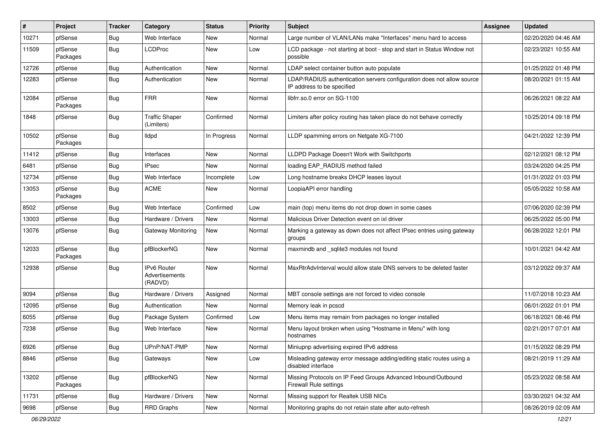| ∦     | Project             | Tracker    | Category                                 | <b>Status</b> | <b>Priority</b> | <b>Subject</b>                                                                                       | Assignee | <b>Updated</b>      |
|-------|---------------------|------------|------------------------------------------|---------------|-----------------|------------------------------------------------------------------------------------------------------|----------|---------------------|
| 10271 | pfSense             | Bug        | Web Interface                            | New           | Normal          | Large number of VLAN/LANs make "Interfaces" menu hard to access                                      |          | 02/20/2020 04:46 AM |
| 11509 | pfSense<br>Packages | Bug        | <b>LCDProc</b>                           | New           | Low             | LCD package - not starting at boot - stop and start in Status Window not<br>possible                 |          | 02/23/2021 10:55 AM |
| 12726 | pfSense             | Bug        | Authentication                           | <b>New</b>    | Normal          | LDAP select container button auto populate                                                           |          | 01/25/2022 01:48 PM |
| 12283 | pfSense             | <b>Bug</b> | Authentication                           | New           | Normal          | LDAP/RADIUS authentication servers configuration does not allow source<br>IP address to be specified |          | 08/20/2021 01:15 AM |
| 12084 | pfSense<br>Packages | Bug        | <b>FRR</b>                               | New           | Normal          | libfrr.so.0 error on SG-1100                                                                         |          | 06/26/2021 08:22 AM |
| 1848  | pfSense             | <b>Bug</b> | <b>Traffic Shaper</b><br>(Limiters)      | Confirmed     | Normal          | Limiters after policy routing has taken place do not behave correctly                                |          | 10/25/2014 09:18 PM |
| 10502 | pfSense<br>Packages | Bug        | lldpd                                    | In Progress   | Normal          | LLDP spamming errors on Netgate XG-7100                                                              |          | 04/21/2022 12:39 PM |
| 11412 | pfSense             | Bug        | Interfaces                               | <b>New</b>    | Normal          | LLDPD Package Doesn't Work with Switchports                                                          |          | 02/12/2021 08:12 PM |
| 6481  | pfSense             | <b>Bug</b> | <b>IPsec</b>                             | New           | Normal          | loading EAP RADIUS method failed                                                                     |          | 03/24/2020 04:25 PM |
| 12734 | pfSense             | Bug        | Web Interface                            | Incomplete    | Low             | Long hostname breaks DHCP leases layout                                                              |          | 01/31/2022 01:03 PM |
| 13053 | pfSense<br>Packages | <b>Bug</b> | <b>ACME</b>                              | New           | Normal          | LoopiaAPI error handling                                                                             |          | 05/05/2022 10:58 AM |
| 8502  | pfSense             | Bug        | Web Interface                            | Confirmed     | Low             | main (top) menu items do not drop down in some cases                                                 |          | 07/06/2020 02:39 PM |
| 13003 | pfSense             | <b>Bug</b> | Hardware / Drivers                       | New           | Normal          | Malicious Driver Detection event on ixl driver                                                       |          | 06/25/2022 05:00 PM |
| 13076 | pfSense             | <b>Bug</b> | Gateway Monitoring                       | New           | Normal          | Marking a gateway as down does not affect IPsec entries using gateway<br>groups                      |          | 06/28/2022 12:01 PM |
| 12033 | pfSense<br>Packages | Bug        | pfBlockerNG                              | New           | Normal          | maxmindb and _sqlite3 modules not found                                                              |          | 10/01/2021 04:42 AM |
| 12938 | pfSense             | Bug        | IPv6 Router<br>Advertisements<br>(RADVD) | New           | Normal          | MaxRtrAdvInterval would allow stale DNS servers to be deleted faster                                 |          | 03/12/2022 09:37 AM |
| 9094  | pfSense             | <b>Bug</b> | Hardware / Drivers                       | Assigned      | Normal          | MBT console settings are not forced to video console                                                 |          | 11/07/2018 10:23 AM |
| 12095 | pfSense             | <b>Bug</b> | Authentication                           | New           | Normal          | Memory leak in pcscd                                                                                 |          | 06/01/2022 01:01 PM |
| 6055  | pfSense             | <b>Bug</b> | Package System                           | Confirmed     | Low             | Menu items may remain from packages no longer installed                                              |          | 06/18/2021 08:46 PM |
| 7238  | pfSense             | Bug        | Web Interface                            | New           | Normal          | Menu layout broken when using "Hostname in Menu" with long<br>hostnames                              |          | 02/21/2017 07:01 AM |
| 6926  | pfSense             | I Bug      | UPnP/NAT-PMP                             | New           | Normal          | Miniupnp advertising expired IPv6 address                                                            |          | 01/15/2022 08:29 PM |
| 8846  | pfSense             | <b>Bug</b> | Gateways                                 | New           | Low             | Misleading gateway error message adding/editing static routes using a<br>disabled interface          |          | 08/21/2019 11:29 AM |
| 13202 | pfSense<br>Packages | Bug        | pfBlockerNG                              | New           | Normal          | Missing Protocols on IP Feed Groups Advanced Inbound/Outbound<br><b>Firewall Rule settings</b>       |          | 05/23/2022 08:58 AM |
| 11731 | pfSense             | Bug        | Hardware / Drivers                       | New           | Normal          | Missing support for Realtek USB NICs                                                                 |          | 03/30/2021 04:32 AM |
| 9698  | pfSense             | Bug        | <b>RRD Graphs</b>                        | New           | Normal          | Monitoring graphs do not retain state after auto-refresh                                             |          | 08/26/2019 02:09 AM |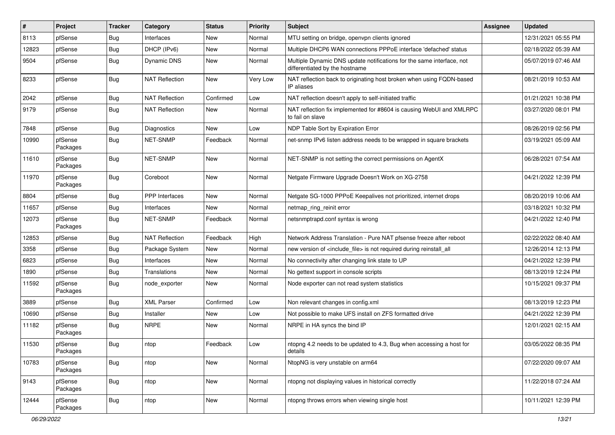| #     | Project             | <b>Tracker</b> | Category              | <b>Status</b> | <b>Priority</b> | <b>Subject</b>                                                                                          | <b>Assignee</b> | <b>Updated</b>      |
|-------|---------------------|----------------|-----------------------|---------------|-----------------|---------------------------------------------------------------------------------------------------------|-----------------|---------------------|
| 8113  | pfSense             | <b>Bug</b>     | Interfaces            | <b>New</b>    | Normal          | MTU setting on bridge, openvpn clients ignored                                                          |                 | 12/31/2021 05:55 PM |
| 12823 | pfSense             | <b>Bug</b>     | DHCP (IPv6)           | <b>New</b>    | Normal          | Multiple DHCP6 WAN connections PPPoE interface 'defached' status                                        |                 | 02/18/2022 05:39 AM |
| 9504  | pfSense             | <b>Bug</b>     | Dynamic DNS           | New           | Normal          | Multiple Dynamic DNS update notifications for the same interface, not<br>differentiated by the hostname |                 | 05/07/2019 07:46 AM |
| 8233  | pfSense             | <b>Bug</b>     | <b>NAT Reflection</b> | New           | Very Low        | NAT reflection back to originating host broken when using FQDN-based<br>IP aliases                      |                 | 08/21/2019 10:53 AM |
| 2042  | pfSense             | <b>Bug</b>     | <b>NAT Reflection</b> | Confirmed     | Low             | NAT reflection doesn't apply to self-initiated traffic                                                  |                 | 01/21/2021 10:38 PM |
| 9179  | pfSense             | <b>Bug</b>     | <b>NAT Reflection</b> | New           | Normal          | NAT reflection fix implemented for #8604 is causing WebUI and XMLRPC<br>to fail on slave                |                 | 03/27/2020 08:01 PM |
| 7848  | pfSense             | <b>Bug</b>     | Diagnostics           | <b>New</b>    | Low             | NDP Table Sort by Expiration Error                                                                      |                 | 08/26/2019 02:56 PM |
| 10990 | pfSense<br>Packages | Bug            | <b>NET-SNMP</b>       | Feedback      | Normal          | net-snmp IPv6 listen address needs to be wrapped in square brackets                                     |                 | 03/19/2021 05:09 AM |
| 11610 | pfSense<br>Packages | Bug            | NET-SNMP              | New           | Normal          | NET-SNMP is not setting the correct permissions on AgentX                                               |                 | 06/28/2021 07:54 AM |
| 11970 | pfSense<br>Packages | Bug            | Coreboot              | New           | Normal          | Netgate Firmware Upgrade Doesn't Work on XG-2758                                                        |                 | 04/21/2022 12:39 PM |
| 8804  | pfSense             | Bug            | PPP Interfaces        | New           | Normal          | Netgate SG-1000 PPPoE Keepalives not prioritized, internet drops                                        |                 | 08/20/2019 10:06 AM |
| 11657 | pfSense             | Bug            | Interfaces            | New           | Normal          | netmap_ring_reinit error                                                                                |                 | 03/18/2021 10:32 PM |
| 12073 | pfSense<br>Packages | Bug            | NET-SNMP              | Feedback      | Normal          | netsnmptrapd.conf syntax is wrong                                                                       |                 | 04/21/2022 12:40 PM |
| 12853 | pfSense             | <b>Bug</b>     | <b>NAT Reflection</b> | Feedback      | High            | Network Address Translation - Pure NAT pfsense freeze after reboot                                      |                 | 02/22/2022 08:40 AM |
| 3358  | pfSense             | <b>Bug</b>     | Package System        | New           | Normal          | new version of <include file=""> is not required during reinstall all</include>                         |                 | 12/26/2014 12:13 PM |
| 6823  | pfSense             | <b>Bug</b>     | Interfaces            | New           | Normal          | No connectivity after changing link state to UP                                                         |                 | 04/21/2022 12:39 PM |
| 1890  | pfSense             | Bug            | Translations          | New           | Normal          | No gettext support in console scripts                                                                   |                 | 08/13/2019 12:24 PM |
| 11592 | pfSense<br>Packages | Bug            | node exporter         | New           | Normal          | Node exporter can not read system statistics                                                            |                 | 10/15/2021 09:37 PM |
| 3889  | pfSense             | <b>Bug</b>     | <b>XML Parser</b>     | Confirmed     | Low             | Non relevant changes in config.xml                                                                      |                 | 08/13/2019 12:23 PM |
| 10690 | pfSense             | Bug            | Installer             | New           | Low             | Not possible to make UFS install on ZFS formatted drive                                                 |                 | 04/21/2022 12:39 PM |
| 11182 | pfSense<br>Packages | Bug            | <b>NRPE</b>           | New           | Normal          | NRPE in HA syncs the bind IP                                                                            |                 | 12/01/2021 02:15 AM |
| 11530 | pfSense<br>Packages | Bug            | ntop                  | Feedback      | Low             | ntopng 4.2 needs to be updated to 4.3, Bug when accessing a host for<br>details                         |                 | 03/05/2022 08:35 PM |
| 10783 | pfSense<br>Packages | Bug            | ntop                  | New           | Normal          | NtopNG is very unstable on arm64                                                                        |                 | 07/22/2020 09:07 AM |
| 9143  | pfSense<br>Packages | Bug            | ntop                  | New           | Normal          | ntopng not displaying values in historical correctly                                                    |                 | 11/22/2018 07:24 AM |
| 12444 | pfSense<br>Packages | <b>Bug</b>     | ntop                  | New           | Normal          | ntopng throws errors when viewing single host                                                           |                 | 10/11/2021 12:39 PM |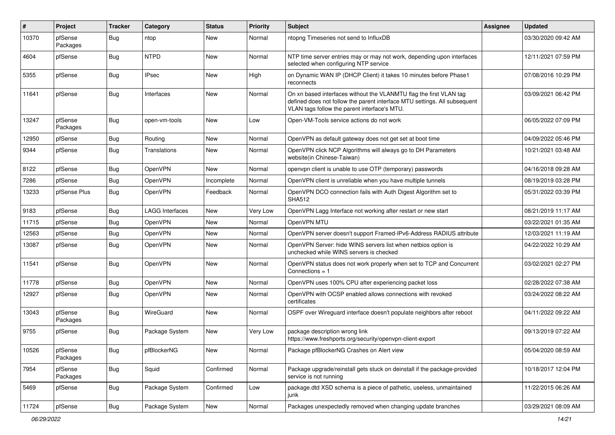| #     | Project             | <b>Tracker</b> | Category               | <b>Status</b> | <b>Priority</b> | <b>Subject</b>                                                                                                                                                                                  | Assignee | <b>Updated</b>      |
|-------|---------------------|----------------|------------------------|---------------|-----------------|-------------------------------------------------------------------------------------------------------------------------------------------------------------------------------------------------|----------|---------------------|
| 10370 | pfSense<br>Packages | Bug            | ntop                   | <b>New</b>    | Normal          | ntopng Timeseries not send to InfluxDB                                                                                                                                                          |          | 03/30/2020 09:42 AM |
| 4604  | pfSense             | Bug            | <b>NTPD</b>            | <b>New</b>    | Normal          | NTP time server entries may or may not work, depending upon interfaces<br>selected when configuring NTP service                                                                                 |          | 12/11/2021 07:59 PM |
| 5355  | pfSense             | Bug            | <b>IPsec</b>           | <b>New</b>    | High            | on Dynamic WAN IP (DHCP Client) it takes 10 minutes before Phase1<br>reconnects                                                                                                                 |          | 07/08/2016 10:29 PM |
| 11641 | pfSense             | Bug            | Interfaces             | <b>New</b>    | Normal          | On xn based interfaces without the VLANMTU flag the first VLAN tag<br>defined does not follow the parent interface MTU settings. All subsequent<br>VLAN tags follow the parent interface's MTU. |          | 03/09/2021 06:42 PM |
| 13247 | pfSense<br>Packages | Bug            | open-vm-tools          | <b>New</b>    | Low             | Open-VM-Tools service actions do not work                                                                                                                                                       |          | 06/05/2022 07:09 PM |
| 12950 | pfSense             | Bug            | Routing                | <b>New</b>    | Normal          | OpenVPN as default gateway does not get set at boot time                                                                                                                                        |          | 04/09/2022 05:46 PM |
| 9344  | pfSense             | Bug            | Translations           | New           | Normal          | OpenVPN click NCP Algorithms will always go to DH Parameters<br>website(in Chinese-Taiwan)                                                                                                      |          | 10/21/2021 03:48 AM |
| 8122  | pfSense             | Bug            | OpenVPN                | New           | Normal          | openvpn client is unable to use OTP (temporary) passwords                                                                                                                                       |          | 04/16/2018 09:28 AM |
| 7286  | pfSense             | Bug            | OpenVPN                | Incomplete    | Normal          | OpenVPN client is unreliable when you have multiple tunnels                                                                                                                                     |          | 08/19/2019 03:28 PM |
| 13233 | pfSense Plus        | Bug            | OpenVPN                | Feedback      | Normal          | OpenVPN DCO connection fails with Auth Digest Algorithm set to<br><b>SHA512</b>                                                                                                                 |          | 05/31/2022 03:39 PM |
| 9183  | pfSense             | Bug            | <b>LAGG Interfaces</b> | New           | Very Low        | OpenVPN Lagg Interface not working after restart or new start                                                                                                                                   |          | 08/21/2019 11:17 AM |
| 11715 | pfSense             | Bug            | OpenVPN                | New           | Normal          | OpenVPN MTU                                                                                                                                                                                     |          | 03/22/2021 01:35 AM |
| 12563 | pfSense             | <b>Bug</b>     | OpenVPN                | <b>New</b>    | Normal          | OpenVPN server doesn't support Framed-IPv6-Address RADIUS attribute                                                                                                                             |          | 12/03/2021 11:19 AM |
| 13087 | pfSense             | Bug            | OpenVPN                | New           | Normal          | OpenVPN Server: hide WINS servers list when netbios option is<br>unchecked while WINS servers is checked                                                                                        |          | 04/22/2022 10:29 AM |
| 11541 | pfSense             | Bug            | OpenVPN                | New           | Normal          | OpenVPN status does not work properly when set to TCP and Concurrent<br>$Connections = 1$                                                                                                       |          | 03/02/2021 02:27 PM |
| 11778 | pfSense             | Bug            | OpenVPN                | New           | Normal          | OpenVPN uses 100% CPU after experiencing packet loss                                                                                                                                            |          | 02/28/2022 07:38 AM |
| 12927 | pfSense             | Bug            | OpenVPN                | New           | Normal          | OpenVPN with OCSP enabled allows connections with revoked<br>certificates                                                                                                                       |          | 03/24/2022 08:22 AM |
| 13043 | pfSense<br>Packages | Bug            | WireGuard              | <b>New</b>    | Normal          | OSPF over Wireguard interface doesn't populate neighbors after reboot                                                                                                                           |          | 04/11/2022 09:22 AM |
| 9755  | pfSense             | Bug            | Package System         | New           | Very Low        | package description wrong link<br>https://www.freshports.org/security/openvpn-client-export                                                                                                     |          | 09/13/2019 07:22 AM |
| 10526 | pfSense<br>Packages | <b>Bug</b>     | pfBlockerNG            | New           | Normal          | Package pfBlockerNG Crashes on Alert view                                                                                                                                                       |          | 05/04/2020 08:59 AM |
| 7954  | pfSense<br>Packages | Bug            | Squid                  | Confirmed     | Normal          | Package upgrade/reinstall gets stuck on deinstall if the package-provided<br>service is not running                                                                                             |          | 10/18/2017 12:04 PM |
| 5469  | pfSense             | <b>Bug</b>     | Package System         | Confirmed     | Low             | package.dtd XSD schema is a piece of pathetic, useless, unmaintained<br>junk                                                                                                                    |          | 11/22/2015 06:26 AM |
| 11724 | pfSense             | Bug            | Package System         | New           | Normal          | Packages unexpectedly removed when changing update branches                                                                                                                                     |          | 03/29/2021 08:09 AM |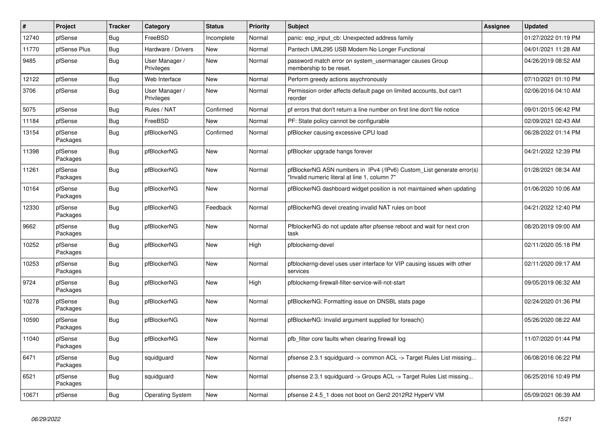| #     | Project             | <b>Tracker</b> | Category                     | <b>Status</b> | <b>Priority</b> | <b>Subject</b>                                                                                                         | <b>Assignee</b> | <b>Updated</b>      |
|-------|---------------------|----------------|------------------------------|---------------|-----------------|------------------------------------------------------------------------------------------------------------------------|-----------------|---------------------|
| 12740 | pfSense             | Bug            | FreeBSD                      | Incomplete    | Normal          | panic: esp input cb: Unexpected address family                                                                         |                 | 01/27/2022 01:19 PM |
| 11770 | pfSense Plus        | Bug            | Hardware / Drivers           | <b>New</b>    | Normal          | Pantech UML295 USB Modem No Longer Functional                                                                          |                 | 04/01/2021 11:28 AM |
| 9485  | pfSense             | <b>Bug</b>     | User Manager /<br>Privileges | <b>New</b>    | Normal          | password match error on system_usermanager causes Group<br>membership to be reset.                                     |                 | 04/26/2019 08:52 AM |
| 12122 | pfSense             | <b>Bug</b>     | Web Interface                | New           | Normal          | Perform greedy actions asychronously                                                                                   |                 | 07/10/2021 01:10 PM |
| 3706  | pfSense             | <b>Bug</b>     | User Manager /<br>Privileges | New           | Normal          | Permission order affects default page on limited accounts, but can't<br>reorder                                        |                 | 02/06/2016 04:10 AM |
| 5075  | pfSense             | <b>Bug</b>     | Rules / NAT                  | Confirmed     | Normal          | pf errors that don't return a line number on first line don't file notice                                              |                 | 09/01/2015 06:42 PM |
| 11184 | pfSense             | <b>Bug</b>     | FreeBSD                      | <b>New</b>    | Normal          | PF: State policy cannot be configurable                                                                                |                 | 02/09/2021 02:43 AM |
| 13154 | pfSense<br>Packages | Bug            | pfBlockerNG                  | Confirmed     | Normal          | pfBlocker causing excessive CPU load                                                                                   |                 | 06/28/2022 01:14 PM |
| 11398 | pfSense<br>Packages | Bug            | pfBlockerNG                  | <b>New</b>    | Normal          | pfBlocker upgrade hangs forever                                                                                        |                 | 04/21/2022 12:39 PM |
| 11261 | pfSense<br>Packages | <b>Bug</b>     | pfBlockerNG                  | <b>New</b>    | Normal          | pfBlockerNG ASN numbers in IPv4 (/IPv6) Custom List generate error(s)<br>'Invalid numeric literal at line 1, column 7" |                 | 01/28/2021 08:34 AM |
| 10164 | pfSense<br>Packages | <b>Bug</b>     | pfBlockerNG                  | <b>New</b>    | Normal          | pfBlockerNG dashboard widget position is not maintained when updating                                                  |                 | 01/06/2020 10:06 AM |
| 12330 | pfSense<br>Packages | <b>Bug</b>     | pfBlockerNG                  | Feedback      | Normal          | pfBlockerNG devel creating invalid NAT rules on boot                                                                   |                 | 04/21/2022 12:40 PM |
| 9662  | pfSense<br>Packages | Bug            | pfBlockerNG                  | <b>New</b>    | Normal          | PfblockerNG do not update after pfsense reboot and wait for next cron<br>task                                          |                 | 08/20/2019 09:00 AM |
| 10252 | pfSense<br>Packages | <b>Bug</b>     | pfBlockerNG                  | New           | High            | pfblockerng-devel                                                                                                      |                 | 02/11/2020 05:18 PM |
| 10253 | pfSense<br>Packages | Bug            | pfBlockerNG                  | <b>New</b>    | Normal          | pfblockerng-devel uses user interface for VIP causing issues with other<br>services                                    |                 | 02/11/2020 09:17 AM |
| 9724  | pfSense<br>Packages | <b>Bug</b>     | pfBlockerNG                  | <b>New</b>    | High            | pfblockerng-firewall-filter-service-will-not-start                                                                     |                 | 09/05/2019 06:32 AM |
| 10278 | pfSense<br>Packages | <b>Bug</b>     | pfBlockerNG                  | <b>New</b>    | Normal          | pfBlockerNG: Formatting issue on DNSBL stats page                                                                      |                 | 02/24/2020 01:36 PM |
| 10590 | pfSense<br>Packages | Bug            | pfBlockerNG                  | <b>New</b>    | Normal          | pfBlockerNG: Invalid argument supplied for foreach()                                                                   |                 | 05/26/2020 08:22 AM |
| 11040 | pfSense<br>Packages | Bug            | pfBlockerNG                  | <b>New</b>    | Normal          | pfb filter core faults when clearing firewall log                                                                      |                 | 11/07/2020 01:44 PM |
| 6471  | pfSense<br>Packages | <b>Bug</b>     | squidguard                   | <b>New</b>    | Normal          | pfsense 2.3.1 squidguard -> common ACL -> Target Rules List missing                                                    |                 | 06/08/2016 06:22 PM |
| 6521  | pfSense<br>Packages | Bug            | squidguard                   | <b>New</b>    | Normal          | pfsense 2.3.1 squidguard -> Groups ACL -> Target Rules List missing                                                    |                 | 06/25/2016 10:49 PM |
| 10671 | pfSense             | <b>Bug</b>     | <b>Operating System</b>      | <b>New</b>    | Normal          | pfsense 2.4.5_1 does not boot on Gen2 2012R2 HyperV VM                                                                 |                 | 05/09/2021 06:39 AM |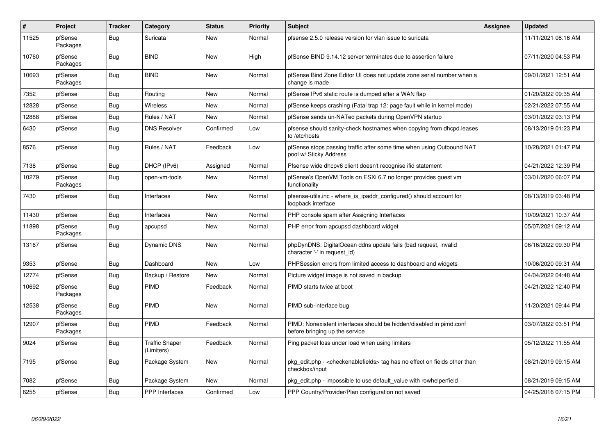| $\sharp$ | <b>Project</b>      | Tracker    | Category                            | <b>Status</b> | <b>Priority</b> | <b>Subject</b>                                                                                                   | Assignee | Updated             |
|----------|---------------------|------------|-------------------------------------|---------------|-----------------|------------------------------------------------------------------------------------------------------------------|----------|---------------------|
| 11525    | pfSense<br>Packages | Bug        | Suricata                            | <b>New</b>    | Normal          | pfsense 2.5.0 release version for vlan issue to suricata                                                         |          | 11/11/2021 08:16 AM |
| 10760    | pfSense<br>Packages | <b>Bug</b> | <b>BIND</b>                         | New           | High            | pfSense BIND 9.14.12 server terminates due to assertion failure                                                  |          | 07/11/2020 04:53 PM |
| 10693    | pfSense<br>Packages | Bug        | <b>BIND</b>                         | <b>New</b>    | Normal          | pfSense Bind Zone Editor UI does not update zone serial number when a<br>change is made                          |          | 09/01/2021 12:51 AM |
| 7352     | pfSense             | <b>Bug</b> | Routing                             | <b>New</b>    | Normal          | pfSense IPv6 static route is dumped after a WAN flap                                                             |          | 01/20/2022 09:35 AM |
| 12828    | pfSense             | <b>Bug</b> | Wireless                            | <b>New</b>    | Normal          | pfSense keeps crashing (Fatal trap 12: page fault while in kernel mode)                                          |          | 02/21/2022 07:55 AM |
| 12888    | pfSense             | Bug        | Rules / NAT                         | New           | Normal          | pfSense sends un-NATed packets during OpenVPN startup                                                            |          | 03/01/2022 03:13 PM |
| 6430     | pfSense             | Bug        | <b>DNS Resolver</b>                 | Confirmed     | Low             | pfsense should sanity-check hostnames when copying from dhcpd.leases<br>to /etc/hosts                            |          | 08/13/2019 01:23 PM |
| 8576     | pfSense             | <b>Bug</b> | Rules / NAT                         | Feedback      | Low             | pfSense stops passing traffic after some time when using Outbound NAT<br>pool w/ Sticky Address                  |          | 10/28/2021 01:47 PM |
| 7138     | pfSense             | <b>Bug</b> | DHCP (IPv6)                         | Assigned      | Normal          | Pfsense wide dhcpv6 client doesn't recognise ifid statement                                                      |          | 04/21/2022 12:39 PM |
| 10279    | pfSense<br>Packages | <b>Bug</b> | open-vm-tools                       | New           | Normal          | pfSense's OpenVM Tools on ESXi 6.7 no longer provides guest vm<br>functionality                                  |          | 03/01/2020 06:07 PM |
| 7430     | pfSense             | Bug        | Interfaces                          | <b>New</b>    | Normal          | pfsense-utils.inc - where is ipaddr configured() should account for<br>loopback interface                        |          | 08/13/2019 03:48 PM |
| 11430    | pfSense             | Bug        | Interfaces                          | <b>New</b>    | Normal          | PHP console spam after Assigning Interfaces                                                                      |          | 10/09/2021 10:37 AM |
| 11898    | pfSense<br>Packages | Bug        | apcupsd                             | <b>New</b>    | Normal          | PHP error from apcupsd dashboard widget                                                                          |          | 05/07/2021 09:12 AM |
| 13167    | pfSense             | Bug        | <b>Dynamic DNS</b>                  | <b>New</b>    | Normal          | phpDynDNS: DigitalOcean ddns update fails (bad request, invalid<br>character '-' in request id)                  |          | 06/16/2022 09:30 PM |
| 9353     | pfSense             | <b>Bug</b> | Dashboard                           | <b>New</b>    | Low             | PHPSession errors from limited access to dashboard and widgets                                                   |          | 10/06/2020 09:31 AM |
| 12774    | pfSense             | <b>Bug</b> | Backup / Restore                    | <b>New</b>    | Normal          | Picture widget image is not saved in backup                                                                      |          | 04/04/2022 04:48 AM |
| 10692    | pfSense<br>Packages | Bug        | PIMD                                | Feedback      | Normal          | PIMD starts twice at boot                                                                                        |          | 04/21/2022 12:40 PM |
| 12538    | pfSense<br>Packages | Bug        | <b>PIMD</b>                         | <b>New</b>    | Normal          | PIMD sub-interface bug                                                                                           |          | 11/20/2021 09:44 PM |
| 12907    | pfSense<br>Packages | Bug        | <b>PIMD</b>                         | Feedback      | Normal          | PIMD: Nonexistent interfaces should be hidden/disabled in pimd.conf<br>before bringing up the service            |          | 03/07/2022 03:51 PM |
| 9024     | pfSense             | Bug        | <b>Traffic Shaper</b><br>(Limiters) | Feedback      | Normal          | Ping packet loss under load when using limiters                                                                  |          | 05/12/2022 11:55 AM |
| 7195     | pfSense             | <b>Bug</b> | Package System                      | New           | Normal          | pkg_edit.php - <checkenablefields> tag has no effect on fields other than<br/>checkbox/input</checkenablefields> |          | 08/21/2019 09:15 AM |
| 7082     | pfSense             | <b>Bug</b> | Package System                      | <b>New</b>    | Normal          | pkg_edit.php - impossible to use default_value with rowhelperfield                                               |          | 08/21/2019 09:15 AM |
| 6255     | pfSense             | <b>Bug</b> | <b>PPP</b> Interfaces               | Confirmed     | Low             | PPP Country/Provider/Plan configuration not saved                                                                |          | 04/25/2016 07:15 PM |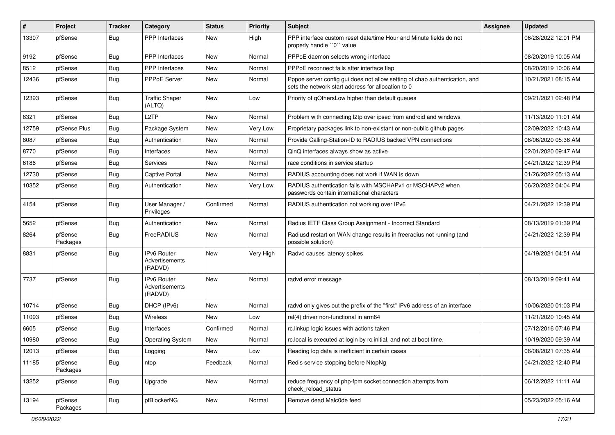| $\#$  | Project             | <b>Tracker</b> | Category                                        | <b>Status</b> | <b>Priority</b> | <b>Subject</b>                                                                                                                   | Assignee | <b>Updated</b>      |
|-------|---------------------|----------------|-------------------------------------------------|---------------|-----------------|----------------------------------------------------------------------------------------------------------------------------------|----------|---------------------|
| 13307 | pfSense             | <b>Bug</b>     | PPP Interfaces                                  | New           | High            | PPP interface custom reset date/time Hour and Minute fields do not<br>properly handle "0" value                                  |          | 06/28/2022 12:01 PM |
| 9192  | pfSense             | Bug            | PPP Interfaces                                  | New           | Normal          | PPPoE daemon selects wrong interface                                                                                             |          | 08/20/2019 10:05 AM |
| 8512  | pfSense             | <b>Bug</b>     | <b>PPP</b> Interfaces                           | <b>New</b>    | Normal          | PPPoE reconnect fails after interface flap                                                                                       |          | 08/20/2019 10:06 AM |
| 12436 | pfSense             | Bug            | PPPoE Server                                    | New           | Normal          | Pppoe server config gui does not allow setting of chap authentication, and<br>sets the network start address for allocation to 0 |          | 10/21/2021 08:15 AM |
| 12393 | pfSense             | Bug            | <b>Traffic Shaper</b><br>(ALTQ)                 | New           | Low             | Priority of gOthersLow higher than default queues                                                                                |          | 09/21/2021 02:48 PM |
| 6321  | pfSense             | Bug            | L2TP                                            | <b>New</b>    | Normal          | Problem with connecting I2tp over ipsec from android and windows                                                                 |          | 11/13/2020 11:01 AM |
| 12759 | pfSense Plus        | Bug            | Package System                                  | <b>New</b>    | Very Low        | Proprietary packages link to non-existant or non-public github pages                                                             |          | 02/09/2022 10:43 AM |
| 8087  | pfSense             | Bug            | Authentication                                  | New           | Normal          | Provide Calling-Station-ID to RADIUS backed VPN connections                                                                      |          | 06/06/2020 05:36 AM |
| 8770  | pfSense             | Bug            | Interfaces                                      | <b>New</b>    | Normal          | QinQ interfaces always show as active                                                                                            |          | 02/01/2020 09:47 AM |
| 6186  | pfSense             | Bug            | Services                                        | <b>New</b>    | Normal          | race conditions in service startup                                                                                               |          | 04/21/2022 12:39 PM |
| 12730 | pfSense             | <b>Bug</b>     | Captive Portal                                  | New           | Normal          | RADIUS accounting does not work if WAN is down                                                                                   |          | 01/26/2022 05:13 AM |
| 10352 | pfSense             | Bug            | Authentication                                  | New           | Very Low        | RADIUS authentication fails with MSCHAPv1 or MSCHAPv2 when<br>passwords contain international characters                         |          | 06/20/2022 04:04 PM |
| 4154  | pfSense             | <b>Bug</b>     | User Manager /<br>Privileges                    | Confirmed     | Normal          | RADIUS authentication not working over IPv6                                                                                      |          | 04/21/2022 12:39 PM |
| 5652  | pfSense             | Bug            | Authentication                                  | New           | Normal          | Radius IETF Class Group Assignment - Incorrect Standard                                                                          |          | 08/13/2019 01:39 PM |
| 8264  | pfSense<br>Packages | <b>Bug</b>     | FreeRADIUS                                      | <b>New</b>    | Normal          | Radiusd restart on WAN change results in freeradius not running (and<br>possible solution)                                       |          | 04/21/2022 12:39 PM |
| 8831  | pfSense             | <b>Bug</b>     | <b>IPv6 Router</b><br>Advertisements<br>(RADVD) | <b>New</b>    | Very High       | Radvd causes latency spikes                                                                                                      |          | 04/19/2021 04:51 AM |
| 7737  | pfSense             | <b>Bug</b>     | <b>IPv6 Router</b><br>Advertisements<br>(RADVD) | <b>New</b>    | Normal          | radvd error message                                                                                                              |          | 08/13/2019 09:41 AM |
| 10714 | pfSense             | Bug            | DHCP (IPv6)                                     | <b>New</b>    | Normal          | radvd only gives out the prefix of the "first" IPv6 address of an interface                                                      |          | 10/06/2020 01:03 PM |
| 11093 | pfSense             | <b>Bug</b>     | Wireless                                        | <b>New</b>    | Low             | ral(4) driver non-functional in arm64                                                                                            |          | 11/21/2020 10:45 AM |
| 6605  | pfSense             | <b>Bug</b>     | Interfaces                                      | Confirmed     | Normal          | rc.linkup logic issues with actions taken                                                                                        |          | 07/12/2016 07:46 PM |
| 10980 | pfSense             | Bug            | <b>Operating System</b>                         | New           | Normal          | rc.local is executed at login by rc.initial, and not at boot time.                                                               |          | 10/19/2020 09:39 AM |
| 12013 | pfSense             | <b>Bug</b>     | Logging                                         | New           | Low             | Reading log data is inefficient in certain cases                                                                                 |          | 06/08/2021 07:35 AM |
| 11185 | pfSense<br>Packages | <b>Bug</b>     | ntop                                            | Feedback      | Normal          | Redis service stopping before NtopNg                                                                                             |          | 04/21/2022 12:40 PM |
| 13252 | pfSense             | Bug            | Upgrade                                         | New           | Normal          | reduce frequency of php-fpm socket connection attempts from<br>check reload status                                               |          | 06/12/2022 11:11 AM |
| 13194 | pfSense<br>Packages | Bug            | pfBlockerNG                                     | New           | Normal          | Remove dead Malc0de feed                                                                                                         |          | 05/23/2022 05:16 AM |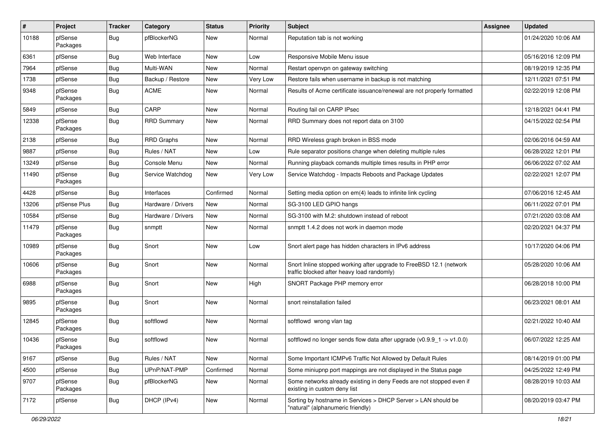| $\sharp$ | Project             | <b>Tracker</b> | Category           | <b>Status</b> | <b>Priority</b> | Subject                                                                                                           | <b>Assignee</b> | <b>Updated</b>      |
|----------|---------------------|----------------|--------------------|---------------|-----------------|-------------------------------------------------------------------------------------------------------------------|-----------------|---------------------|
| 10188    | pfSense<br>Packages | Bug            | pfBlockerNG        | New           | Normal          | Reputation tab is not working                                                                                     |                 | 01/24/2020 10:06 AM |
| 6361     | pfSense             | Bug            | Web Interface      | <b>New</b>    | Low             | Responsive Mobile Menu issue                                                                                      |                 | 05/16/2016 12:09 PM |
| 7964     | pfSense             | <b>Bug</b>     | Multi-WAN          | New           | Normal          | Restart openypn on gateway switching                                                                              |                 | 08/19/2019 12:35 PM |
| 1738     | pfSense             | <b>Bug</b>     | Backup / Restore   | New           | Very Low        | Restore fails when username in backup is not matching                                                             |                 | 12/11/2021 07:51 PM |
| 9348     | pfSense<br>Packages | Bug            | <b>ACME</b>        | New           | Normal          | Results of Acme certificate issuance/renewal are not properly formatted                                           |                 | 02/22/2019 12:08 PM |
| 5849     | pfSense             | Bug            | CARP               | <b>New</b>    | Normal          | Routing fail on CARP IPsec                                                                                        |                 | 12/18/2021 04:41 PM |
| 12338    | pfSense<br>Packages | Bug            | <b>RRD Summary</b> | New           | Normal          | RRD Summary does not report data on 3100                                                                          |                 | 04/15/2022 02:54 PM |
| 2138     | pfSense             | Bug            | <b>RRD Graphs</b>  | <b>New</b>    | Normal          | RRD Wireless graph broken in BSS mode                                                                             |                 | 02/06/2016 04:59 AM |
| 9887     | pfSense             | <b>Bug</b>     | Rules / NAT        | New           | Low             | Rule separator positions change when deleting multiple rules                                                      |                 | 06/28/2022 12:01 PM |
| 13249    | pfSense             | <b>Bug</b>     | Console Menu       | <b>New</b>    | Normal          | Running playback comands multiple times results in PHP error                                                      |                 | 06/06/2022 07:02 AM |
| 11490    | pfSense<br>Packages | Bug            | Service Watchdog   | New           | Very Low        | Service Watchdog - Impacts Reboots and Package Updates                                                            |                 | 02/22/2021 12:07 PM |
| 4428     | pfSense             | <b>Bug</b>     | Interfaces         | Confirmed     | Normal          | Setting media option on em(4) leads to infinite link cycling                                                      |                 | 07/06/2016 12:45 AM |
| 13206    | pfSense Plus        | <b>Bug</b>     | Hardware / Drivers | <b>New</b>    | Normal          | SG-3100 LED GPIO hangs                                                                                            |                 | 06/11/2022 07:01 PM |
| 10584    | pfSense             | <b>Bug</b>     | Hardware / Drivers | <b>New</b>    | Normal          | SG-3100 with M.2: shutdown instead of reboot                                                                      |                 | 07/21/2020 03:08 AM |
| 11479    | pfSense<br>Packages | Bug            | snmptt             | New           | Normal          | snmptt 1.4.2 does not work in daemon mode                                                                         |                 | 02/20/2021 04:37 PM |
| 10989    | pfSense<br>Packages | Bug            | Snort              | <b>New</b>    | Low             | Snort alert page has hidden characters in IPv6 address                                                            |                 | 10/17/2020 04:06 PM |
| 10606    | pfSense<br>Packages | Bug            | Snort              | New           | Normal          | Snort Inline stopped working after upgrade to FreeBSD 12.1 (network<br>traffic blocked after heavy load randomly) |                 | 05/28/2020 10:06 AM |
| 6988     | pfSense<br>Packages | Bug            | Snort              | New           | High            | SNORT Package PHP memory error                                                                                    |                 | 06/28/2018 10:00 PM |
| 9895     | pfSense<br>Packages | Bug            | Snort              | <b>New</b>    | Normal          | snort reinstallation failed                                                                                       |                 | 06/23/2021 08:01 AM |
| 12845    | pfSense<br>Packages | Bug            | softflowd          | <b>New</b>    | Normal          | softflowd wrong vlan tag                                                                                          |                 | 02/21/2022 10:40 AM |
| 10436    | pfSense<br>Packages | Bug            | softflowd          | New           | Normal          | softflowd no longer sends flow data after upgrade ( $v0.9.9 - 1 \rightarrow v1.0.0$ )                             |                 | 06/07/2022 12:25 AM |
| 9167     | pfSense             | Bug            | Rules / NAT        | New           | Normal          | Some Important ICMPv6 Traffic Not Allowed by Default Rules                                                        |                 | 08/14/2019 01:00 PM |
| 4500     | pfSense             | <b>Bug</b>     | UPnP/NAT-PMP       | Confirmed     | Normal          | Some miniupnp port mappings are not displayed in the Status page                                                  |                 | 04/25/2022 12:49 PM |
| 9707     | pfSense<br>Packages | <b>Bug</b>     | pfBlockerNG        | New           | Normal          | Some networks already existing in deny Feeds are not stopped even if<br>existing in custom deny list              |                 | 08/28/2019 10:03 AM |
| 7172     | pfSense             | <b>Bug</b>     | DHCP (IPv4)        | New           | Normal          | Sorting by hostname in Services > DHCP Server > LAN should be<br>"natural" (alphanumeric friendly)                |                 | 08/20/2019 03:47 PM |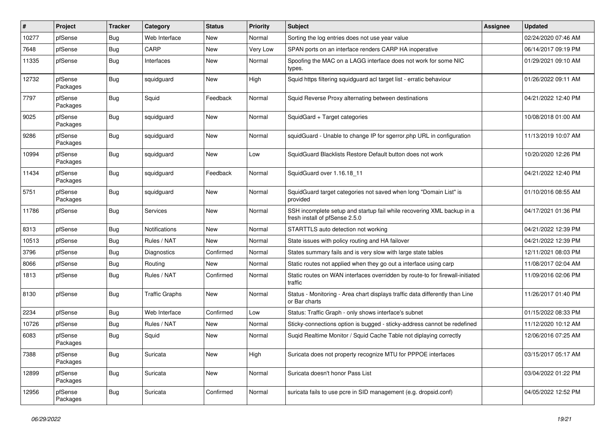| #     | Project             | <b>Tracker</b> | Category              | <b>Status</b> | <b>Priority</b> | <b>Subject</b>                                                                                           | Assignee | <b>Updated</b>      |
|-------|---------------------|----------------|-----------------------|---------------|-----------------|----------------------------------------------------------------------------------------------------------|----------|---------------------|
| 10277 | pfSense             | <b>Bug</b>     | Web Interface         | New           | Normal          | Sorting the log entries does not use year value                                                          |          | 02/24/2020 07:46 AM |
| 7648  | pfSense             | <b>Bug</b>     | CARP                  | <b>New</b>    | Very Low        | SPAN ports on an interface renders CARP HA inoperative                                                   |          | 06/14/2017 09:19 PM |
| 11335 | pfSense             | Bug            | Interfaces            | <b>New</b>    | Normal          | Spoofing the MAC on a LAGG interface does not work for some NIC<br>types.                                |          | 01/29/2021 09:10 AM |
| 12732 | pfSense<br>Packages | <b>Bug</b>     | squidguard            | <b>New</b>    | High            | Squid https filtering squidguard acl target list - erratic behaviour                                     |          | 01/26/2022 09:11 AM |
| 7797  | pfSense<br>Packages | Bug            | Squid                 | Feedback      | Normal          | Squid Reverse Proxy alternating between destinations                                                     |          | 04/21/2022 12:40 PM |
| 9025  | pfSense<br>Packages | Bug            | squidguard            | <b>New</b>    | Normal          | SquidGard + Target categories                                                                            |          | 10/08/2018 01:00 AM |
| 9286  | pfSense<br>Packages | Bug            | squidguard            | <b>New</b>    | Normal          | squidGuard - Unable to change IP for sgerror.php URL in configuration                                    |          | 11/13/2019 10:07 AM |
| 10994 | pfSense<br>Packages | <b>Bug</b>     | squidguard            | New           | Low             | SquidGuard Blacklists Restore Default button does not work                                               |          | 10/20/2020 12:26 PM |
| 11434 | pfSense<br>Packages | Bug            | squidguard            | Feedback      | Normal          | SquidGuard over 1.16.18 11                                                                               |          | 04/21/2022 12:40 PM |
| 5751  | pfSense<br>Packages | <b>Bug</b>     | squidguard            | <b>New</b>    | Normal          | SquidGuard target categories not saved when long "Domain List" is<br>provided                            |          | 01/10/2016 08:55 AM |
| 11786 | pfSense             | Bug            | Services              | <b>New</b>    | Normal          | SSH incomplete setup and startup fail while recovering XML backup in a<br>fresh install of pfSense 2.5.0 |          | 04/17/2021 01:36 PM |
| 8313  | pfSense             | Bug            | Notifications         | <b>New</b>    | Normal          | STARTTLS auto detection not working                                                                      |          | 04/21/2022 12:39 PM |
| 10513 | pfSense             | Bug            | Rules / NAT           | New           | Normal          | State issues with policy routing and HA failover                                                         |          | 04/21/2022 12:39 PM |
| 3796  | pfSense             | <b>Bug</b>     | Diagnostics           | Confirmed     | Normal          | States summary fails and is very slow with large state tables                                            |          | 12/11/2021 08:03 PM |
| 8066  | pfSense             | <b>Bug</b>     | Routing               | New           | Normal          | Static routes not applied when they go out a interface using carp                                        |          | 11/08/2017 02:04 AM |
| 1813  | pfSense             | Bug            | Rules / NAT           | Confirmed     | Normal          | Static routes on WAN interfaces overridden by route-to for firewall-initiated<br>traffic                 |          | 11/09/2016 02:06 PM |
| 8130  | pfSense             | Bug            | <b>Traffic Graphs</b> | New           | Normal          | Status - Monitoring - Area chart displays traffic data differently than Line<br>or Bar charts            |          | 11/26/2017 01:40 PM |
| 2234  | pfSense             | Bug            | Web Interface         | Confirmed     | Low             | Status: Traffic Graph - only shows interface's subnet                                                    |          | 01/15/2022 08:33 PM |
| 10726 | pfSense             | Bug            | Rules / NAT           | New           | Normal          | Sticky-connections option is bugged - sticky-address cannot be redefined                                 |          | 11/12/2020 10:12 AM |
| 6083  | pfSense<br>Packages | <b>Bug</b>     | Squid                 | New           | Normal          | Suqid Realtime Monitor / Squid Cache Table not diplaying correctly                                       |          | 12/06/2016 07:25 AM |
| 7388  | pfSense<br>Packages | Bug            | Suricata              | New           | High            | Suricata does not property recognize MTU for PPPOE interfaces                                            |          | 03/15/2017 05:17 AM |
| 12899 | pfSense<br>Packages | <b>Bug</b>     | Suricata              | New           | Normal          | Suricata doesn't honor Pass List                                                                         |          | 03/04/2022 01:22 PM |
| 12956 | pfSense<br>Packages | <b>Bug</b>     | Suricata              | Confirmed     | Normal          | suricata fails to use pcre in SID management (e.g. dropsid.conf)                                         |          | 04/05/2022 12:52 PM |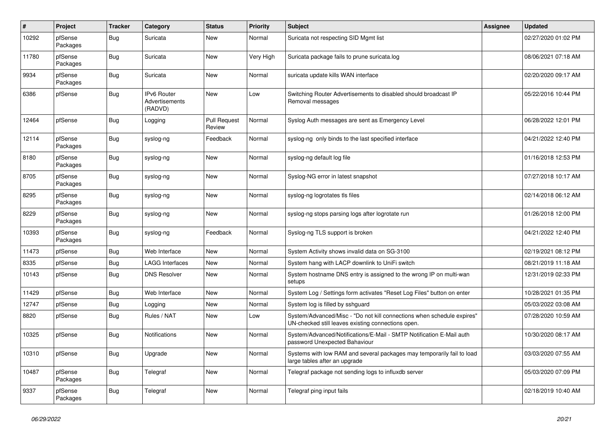| $\sharp$ | Project             | <b>Tracker</b> | Category                                        | <b>Status</b>                 | <b>Priority</b> | <b>Subject</b>                                                                                                               | <b>Assignee</b> | Updated             |
|----------|---------------------|----------------|-------------------------------------------------|-------------------------------|-----------------|------------------------------------------------------------------------------------------------------------------------------|-----------------|---------------------|
| 10292    | pfSense<br>Packages | Bug            | Suricata                                        | <b>New</b>                    | Normal          | Suricata not respecting SID Mgmt list                                                                                        |                 | 02/27/2020 01:02 PM |
| 11780    | pfSense<br>Packages | Bug            | Suricata                                        | <b>New</b>                    | Very High       | Suricata package fails to prune suricata.log                                                                                 |                 | 08/06/2021 07:18 AM |
| 9934     | pfSense<br>Packages | Bug            | Suricata                                        | <b>New</b>                    | Normal          | suricata update kills WAN interface                                                                                          |                 | 02/20/2020 09:17 AM |
| 6386     | pfSense             | <b>Bug</b>     | <b>IPv6 Router</b><br>Advertisements<br>(RADVD) | <b>New</b>                    | Low             | Switching Router Advertisements to disabled should broadcast IP<br>Removal messages                                          |                 | 05/22/2016 10:44 PM |
| 12464    | pfSense             | Bug            | Logging                                         | <b>Pull Request</b><br>Review | Normal          | Syslog Auth messages are sent as Emergency Level                                                                             |                 | 06/28/2022 12:01 PM |
| 12114    | pfSense<br>Packages | <b>Bug</b>     | syslog-ng                                       | Feedback                      | Normal          | syslog-ng only binds to the last specified interface                                                                         |                 | 04/21/2022 12:40 PM |
| 8180     | pfSense<br>Packages | Bug            | syslog-ng                                       | <b>New</b>                    | Normal          | syslog-ng default log file                                                                                                   |                 | 01/16/2018 12:53 PM |
| 8705     | pfSense<br>Packages | Bug            | syslog-ng                                       | <b>New</b>                    | Normal          | Syslog-NG error in latest snapshot                                                                                           |                 | 07/27/2018 10:17 AM |
| 8295     | pfSense<br>Packages | <b>Bug</b>     | syslog-ng                                       | New                           | Normal          | syslog-ng logrotates tls files                                                                                               |                 | 02/14/2018 06:12 AM |
| 8229     | pfSense<br>Packages | <b>Bug</b>     | syslog-ng                                       | New                           | Normal          | syslog-ng stops parsing logs after logrotate run                                                                             |                 | 01/26/2018 12:00 PM |
| 10393    | pfSense<br>Packages | Bug            | syslog-ng                                       | Feedback                      | Normal          | Syslog-ng TLS support is broken                                                                                              |                 | 04/21/2022 12:40 PM |
| 11473    | pfSense             | Bug            | Web Interface                                   | <b>New</b>                    | Normal          | System Activity shows invalid data on SG-3100                                                                                |                 | 02/19/2021 08:12 PM |
| 8335     | pfSense             | Bug            | <b>LAGG Interfaces</b>                          | <b>New</b>                    | Normal          | System hang with LACP downlink to UniFi switch                                                                               |                 | 08/21/2019 11:18 AM |
| 10143    | pfSense             | <b>Bug</b>     | <b>DNS Resolver</b>                             | New                           | Normal          | System hostname DNS entry is assigned to the wrong IP on multi-wan<br>setups                                                 |                 | 12/31/2019 02:33 PM |
| 11429    | pfSense             | Bug            | Web Interface                                   | <b>New</b>                    | Normal          | System Log / Settings form activates "Reset Log Files" button on enter                                                       |                 | 10/28/2021 01:35 PM |
| 12747    | pfSense             | Bug            | Logging                                         | New                           | Normal          | System log is filled by sshguard                                                                                             |                 | 05/03/2022 03:08 AM |
| 8820     | pfSense             | <b>Bug</b>     | Rules / NAT                                     | <b>New</b>                    | Low             | System/Advanced/Misc - "Do not kill connections when schedule expires"<br>UN-checked still leaves existing connections open. |                 | 07/28/2020 10:59 AM |
| 10325    | pfSense             | Bug            | <b>Notifications</b>                            | <b>New</b>                    | Normal          | System/Advanced/Notifications/E-Mail - SMTP Notification E-Mail auth<br>password Unexpected Bahaviour                        |                 | 10/30/2020 08:17 AM |
| 10310    | pfSense             | <b>Bug</b>     | Upgrade                                         | <b>New</b>                    | Normal          | Systems with low RAM and several packages may temporarily fail to load<br>large tables after an upgrade                      |                 | 03/03/2020 07:55 AM |
| 10487    | pfSense<br>Packages | Bug            | Telegraf                                        | New                           | Normal          | Telegraf package not sending logs to influxdb server                                                                         |                 | 05/03/2020 07:09 PM |
| 9337     | pfSense<br>Packages | Bug            | Telegraf                                        | <b>New</b>                    | Normal          | Telegraf ping input fails                                                                                                    |                 | 02/18/2019 10:40 AM |